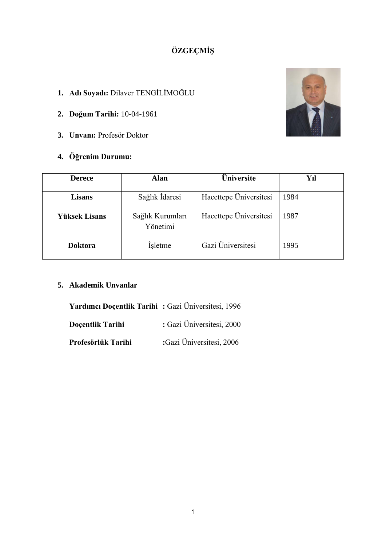# **ÖZGEÇMİŞ**

- **1. Adı Soyadı:** Dilaver TENGİLİMOĞLU
- **2. Doğum Tarihi:** 10-04-1961
- **3. Unvanı:** Profesör Doktor
- **4. Öğrenim Durumu:**



| <b>Derece</b>        | <b>Alan</b>                  | <b>Üniversite</b>      | Yıl  |
|----------------------|------------------------------|------------------------|------|
| <b>Lisans</b>        | Sağlık İdaresi               | Hacettepe Üniversitesi | 1984 |
| <b>Yüksek Lisans</b> | Sağlık Kurumları<br>Yönetimi | Hacettepe Üniversitesi | 1987 |
| <b>Doktora</b>       | <i>i</i> sletme              | Gazi Üniversitesi      | 1995 |

# **5. Akademik Unvanlar**

**Yardımcı Doçentlik Tarihi :** Gazi Üniversitesi, 1996

**Doçentlik Tarihi** : Gazi Üniversitesi, 2000

**Profesörlük Tarihi :**Gazi Üniversitesi, 2006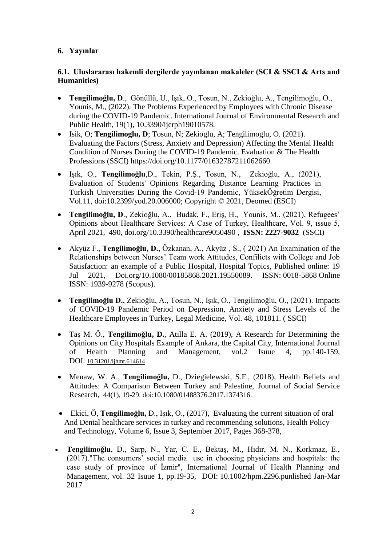## **6. Yayınlar**

### **6.1. Uluslararası hakemli dergilerde yayınlanan makaleler (SCI & SSCI & Arts and Humanities)**

- **Tengilimoğlu, D**., Gönüllü, U., Işık, O., Tosun, N., Zekioğlu, A., Tengilimoğlu, O., Younis, M., (2022). The Problems Experienced by Employees with Chronic Disease during the COVID-19 Pandemic. International Journal of Environmental Research and Public Health, 19(1), 10.3390/ijerph19010578.
- Isik, O; **Tengilimoglu, D**; Tosun, N; Zekioglu, A; Tengilimoglu, O. (2021). Evaluating the Factors (Stress, Anxiety and Depression) Affecting the Mental Health Condition of Nurses During the COVID-19 Pandemic. Evaluation & The Health Professions (SSCI) https://doi.org/10.1177/01632787211062660
- Işık, O., **Tengilimoğlu**,D., Tekin, P.Ş., Tosun, N., Zekioğlu, A., (2021), Evaluation of Students' Opinions Regarding Distance Learning Practices in Turkish Universities During the Covid-19 Pandemic, YüksekÖğretim Dergisi, Vol.11, doi:10.2399/yod.20.006000; Copyright © 2021, Deomed (ESCI)
- **Tengilimoğlu, D**., Zekioğlu, A., Budak, F., Eriş, H., Younis, M., (2021), Refugees' Opinions about Healthcare Services: A Case of Turkey, Healthcare, Vol. 9, ıssue 5, April 2021, 490, doi.org[/10.3390/healthcare9050490](https://www.mdpi.com/2227-9032/9/5/490) , **ISSN: 2227-9032** (SSCI)
- Akyüz F., **Tengilimoğlu, D.,** Özkanan, A., Akyüz , S., ( 2021) An Examination of the Relationships between Nurses' Team work Attitudes, Confilicts with College and Job Satisfaction: an example of a Public Hospital, Hospital Topics, Published online: 19 Jul 2021, Doi.org/10.1080/00185868.2021.19550089. ISSN: 0018-5868 Online ISSN: 1939-9278 (Scopus).
- **Tengilimoğlu D.**, Zekioğlu, A., Tosun, N., Işık, O., Tengilimoğlu, O., (2021). Impacts of COVID-19 Pandemic Period on Depression, Anxiety and Stress Levels of the Healthcare Employees in Turkey, Legal Medicine, Vol. 48, 101811. ( SSCI)
- Taş M. Ö., **Tengilimoğlu, D.**, Atilla E. A. (2019), A Research for Determining the Opinions on City Hospitals Example of Ankara, the Capital City, International Journal of Health Planning and Management, vol.2 Isuue 4, pp.140-159, DOI: [10.31201/ijhmt.614614](https://doi.org/10.31201/ijhmt.614614)
- Menaw, W. A., **Tengilimoğlu,** D., Dziegielewski, S.F., (2018), Health Beliefs and Attitudes: A Comparison Between Turkey and Palestine, Journal of Social Service Research, 44(1), 19-29. doi:10.1080/01488376.2017.1374316.
- Ekici, Ö, **Tengilimoğlu,** D., Işık, O., (2017), Evaluating the current situation of oral And Dental healthcare services in turkey and recommending solutions, [Health Policy](http://www.sciencedirect.com/science/journal/22118837)  [and Technology,](http://www.sciencedirect.com/science/journal/22118837) [Volume 6, Issue 3,](http://www.sciencedirect.com/science/journal/22118837/6/3) September 2017, Pages 368-378,
- **Tengilimoğlu**, D., Sarp, N., Yar, C. E., Bektaş, M., Hıdır, M. N., Korkmaz, E., (2017)."The consumers' social media use in choosing physicians and hospitals: the case study of province of İzmir", International Journal of Health Planning and Management, vol. 32 Isuue 1, pp.19-35, DOI: 10.1002/hpm.2296.punlished Jan-Mar 2017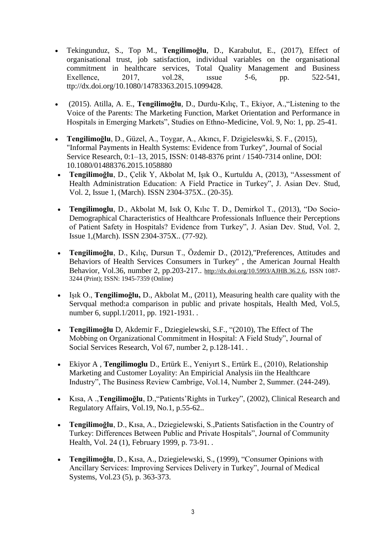- Tekingunduz, S., Top M., **Tengilimoğlu**, D., Karabulut, E., (2017), Effect of organisational trust, job satisfaction, individual variables on the organisational commitment in healthcare services, Total Quality Management and Business Exellence, 2017, vol.28, issue 5-6, pp. 522-541, ttp://dx.doi.org/10.1080/14783363.2015.1099428.
- (2015). Atilla, A. E., **Tengilimoğlu**, D., Durdu-Kılıç, T., Ekiyor, A.,"Listening to the Voice of the Parents: The Marketing Function, Market Orientation and Performance in Hospitals in Emerging Markets", Studies on Ethno-Medicine, Vol. 9, No: 1, pp. 25-41.
- **Tengilimoğlu**, D., Güzel, A., Toygar, A., Akıncı, F. Dzigieleswki, S. F., (2015), "Informal Payments in Health Systems: Evidence from Turkey", Journal of Social Service Research, 0:1–13, 2015, ISSN: 0148-8376 print / 1540-7314 online, DOI: 10.1080/01488376.2015.1058880
- **Tengilimoğlu**, D., Çelik Y, Akbolat M, Işık O., Kurtuldu A, (2013), "Assessment of Health Administration Education: A Field Practice in Turkey", J. Asian Dev. Stud, Vol. 2, Issue 1, (March). ISSN 2304-375X.. (20-35).
- **Tengilimoglu**, D., Akbolat M, Isık O, Kılıc T. D., Demirkol T., (2013), "Do Socio-Demographical Characteristics of Healthcare Professionals Influence their Perceptions of Patient Safety in Hospitals? Evidence from Turkey", J. Asian Dev. Stud, Vol. 2, Issue 1,(March). ISSN 2304-375X.. (77-92).
- **Tengilimoğlu**, D., Kılıç, Dursun T., Özdemir D., (2012),"Preferences, Attitudes and Behaviors of Health Services Consumers in Turkey" , the American Journal Health Behavior, Vol.36, number 2, pp.203-217.. <http://dx.doi.org/10.5993/AJHB.36.2.6>, ISSN [1087-](http://www.ingentaconnect.com/content/png/ajhb;jsessionid=s5t1ywvaocn0.victoria) [3244](http://www.ingentaconnect.com/content/png/ajhb;jsessionid=s5t1ywvaocn0.victoria) (Print); ISSN: [1945-7359](http://www.ingentaconnect.com/content/png/ajhb;jsessionid=s5t1ywvaocn0.victoria) (Online)
- Işık O., **Tengilimoğlu,** D., Akbolat M., (2011), Measuring health care quality with the Servqual method:a comparison in public and private hospitals, Health Med, Vol.5, number 6, suppl.1/2011, pp. 1921-1931. .
- **Tengilimoğlu** D, Akdemir F., Dziegielewski, S.F., "(2010), The Effect of The Mobbing on Organizational Commitment in Hospital: A Field Study", Journal of Social Services Research, Vol 67, number 2, p.128-141. .
- Ekiyor A , **Tengilimoglu** D., Ertürk E., Yeniyırt S., Ertürk E., (2010), Relationship Marketing and Customer Loyality: An Empiricial Analysis iin the Healthcare Industry", The Business Review Cambrige, Vol.14, Number 2, Summer. (244-249).
- Kısa, A .,**Tengilimoğlu**, D.,"Patients'Rights in Turkey", (2002), Clinical Research and Regulatory Affairs, Vol.19, No.1, p.55-62..
- **Tengilimoğlu**, D., Kısa, A., Dziegielewski, S.,Patients Satisfaction in the Country of Turkey: Differences Between Public and Private Hospitals", Journal of Community Health, Vol. 24 (1), February 1999, p. 73-91. .
- **Tengilimoğlu**, D., Kısa, A., Dziegielewski, S., (1999), "Consumer Opinions with Ancillary Services: Improving Services Delivery in Turkey", Journal of Medical Systems, Vol.23 (5), p. 363-373.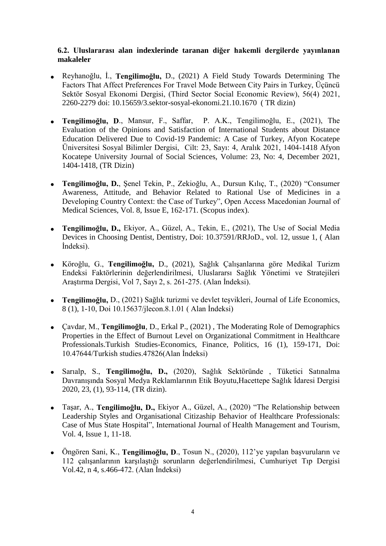#### **6.2. Uluslararası alan indexlerinde taranan diğer hakemli dergilerde yayınlanan makaleler**

- Reyhanoğlu, İ., **Tengilimoğlu,** D., (2021) A Field Study Towards Determining The Factors That Affect Preferences For Travel Mode Between City Pairs in Turkey, Üçüncü Sektör Sosyal Ekonomi Dergisi, (Third Sector Social Economic Review), 56(4) 2021, 2260-2279 doi: 10.15659/3.sektor-sosyal-ekonomi.21.10.1670 ( TR dizin)
- **Tengilimoğlu, D**., Mansur, F., Saffar, P. A.K., Tengilimoğlu, E., (2021), The Evaluation of the Opinions and Satisfaction of International Students about Distance Education Delivered Due to Covid-19 Pandemic: A Case of Turkey, Afyon Kocatepe Üniversitesi Sosyal Bilimler Dergisi, Cilt: 23, Sayı: 4, Aralık 2021, 1404-1418 Afyon Kocatepe University Journal of Social Sciences, Volume: 23, No: 4, December 2021, 1404-1418, (TR Dizin)
- **Tengilimoğlu, D.**, Şenel Tekin, P., Zekioğlu, A., Dursun Kılıç, T., (2020) "Consumer Awareness, Attitude, and Behavior Related to Rational Use of Medicines in a Developing Country Context: the Case of Turkey", Open Access Macedonian Journal of Medical Sciences, Vol. 8, Issue E, 162-171. (Scopus index).
- **Tengilimoğlu, D.,** Ekiyor, A., Güzel, A., Tekin, E., (2021), The Use of Social Media Devices in Choosing Dentist, Dentistry, Doi: 10.37591/RRJoD., vol. 12, ussue 1, ( Alan İndeksi).
- Köroğlu, G., **Tengilimoğlu,** D., (2021), Sağlık Çalışanlarına göre Medikal Turizm Endeksi Faktörlerinin değerlendirilmesi, Uluslararsı Sağlık Yönetimi ve Stratejileri Araştırma Dergisi, Vol 7, Sayı 2, s. 261-275. (Alan İndeksi).
- **Tengilimoğlu,** D., (2021) Sağlık turizmi ve devlet teşvikleri, Journal of Life Economics, 8 (1), 1-10, Doi 10.15637/jlecon.8.1.01 ( Alan İndeksi)
- Çavdar, M., **Tengilimoğlu**, D., Erkal P., (2021) , The Moderating Role of Demographics Properties in the Effect of Burnout Level on Organizational Commitment in Healthcare Professionals.Turkish Studies-Economics, Finance, Politics, 16 (1), 159-171, Doi: 10.47644/Turkish studies.47826(Alan İndeksi)
- Sarıalp, S., **Tengilimoğlu, D.,** (2020), Sağlık Sektöründe , Tüketici Satınalma Davranışında Sosyal Medya Reklamlarının Etik Boyutu,Hacettepe Sağlık İdaresi Dergisi 2020, 23, (1), 93-114, (TR dizin).
- Taşar, A., **Tengilimoğlu, D.,** Ekiyor A., Güzel, A., (2020) "The Relationship between Leadership Styles and Organisational Citizaship Behavior of Healthcare Professionals: Case of Mus State Hospital", International Journal of Health Management and Tourism, Vol. 4, Issue 1, 11-18.
- Öngören Sani, K., **Tengilimoğlu, D**., Tosun N., (2020), 112'ye yapılan başvuruların ve 112 çalışanlarının karşılaştığı sorunların değerlendirilmesi, Cumhuriyet Tıp Dergisi Vol.42, n 4, s.466-472. (Alan İndeksi)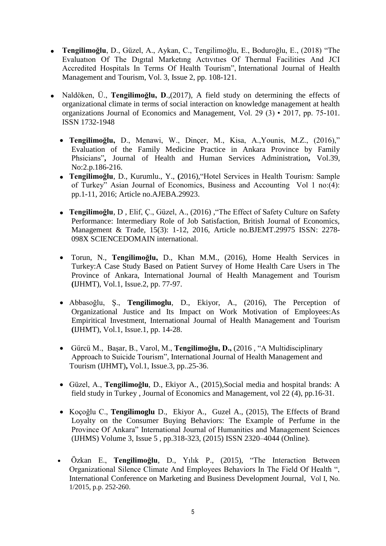- **Tengilimoğlu**, D., Güzel, A., Aykan, C., Tengilimoğlu, E., Boduroğlu, E., (2018) "The Evaluatıon Of The Dıgıtal Marketıng Actıvıtıes Of Thermal Facilities And JCI Accredited Hospitals In Terms Of Health Tourism", International Journal of Health Management and Tourism, Vol. 3, Issue 2, pp. 108-121.
- Naldöken, Ü., **Tengilimoğlu, D**.,(2017), A field study on determining the effects of organizational climate in terms of social interaction on knowledge management at health organizations Journal of Economics and Management, Vol. 29 (3) • 2017, pp. 75-101. ISSN 1732-1948
	- **Tengilimoğlu,** D., Menawi, W., Dinçer, M., Kisa, A.,Younis, M.Z., (2016)," Evaluation of the Family Medicine Practice in Ankara Province by Family Phsicians"**,** Journal of Health and Human Services Administration**,** Vol.39, No:2.p.186-216.
	- **Tengilimoğlu**, D., Kurumlu., Y., **(**2016),"Hotel Services in Health Tourism: Sample of Turkey" Asian Journal of Economics, Business and Accounting Vol 1 no:(4): pp.1-11, 2016; Article no.AJEBA.29923.
	- **Tengilimoğlu**, D , Elif, Ç., Güzel, A., (2016) ,"The Effect of Safety Culture on Safety Performance: Intermediary Role of Job Satisfaction, British Journal of Economics, Management & Trade, 15(3): 1-12, 2016, Article no.BJEMT.29975 ISSN: 2278- 098X SCIENCEDOMAIN international.
	- Torun, N., **Tengilimoğlu,** D., Khan M.M., (2016), Home Health Services in Turkey:A Case Study Based on Patient Survey of Home Health Care Users in The Province of Ankara, International Journal of Health Management and Tourism **(**IJHMT), Vol.1, Issue.2, pp. 77-97.
	- Abbasoğlu, Ş., **Tengilimoglu**, D., Ekiyor, A., (2016), The Perception of Organizational Justice and Its Impact on Work Motivation of Employees:As Empiritical Investment, International Journal of Health Management and Tourism **(**IJHMT), Vol.1, Issue.1, pp. 14-28.
	- Gürcü M., Başar, B., Varol, M., **Tengilimoğlu, D.,** (2016 , "A Multidisciplinary Approach to Suicide Tourism", International Journal of Health Management and Tourism (IJHMT)**,** Vol.1, Issue.3, pp..25-36.
	- Güzel, A., **Tengilimoğlu**, D., Ekiyor A., (2015),Social media and hospital brands: A field study in Turkey , Journal of Economics and Management, vol 22 (4), pp.16-31.
	- Koçoğlu C., **Tengilimoglu** D., Ekiyor A., Guzel A., (2015), The Effects of Brand Loyalty on the Consumer Buying Behaviors: The Example of Perfume in the Province Of Ankara" International Journal of Humanities and Management Sciences (IJHMS) Volume 3, Issue 5 , pp.318-323, (2015) ISSN 2320–4044 (Online).
	- Özkan E., **Tengilimoğlu**, D., Yılık P., (2015), "The Interaction Between Organizational Silence Climate And Employees Behaviors In The Field Of Health ", International Conference on Marketing and Business Development Journal, Vol I, No. 1/2015, p.p. 252-260.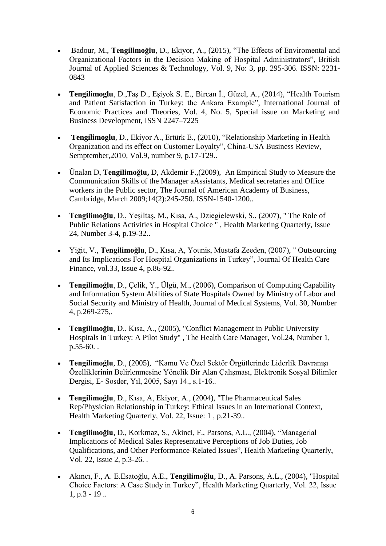- Badour, M., **Tengilimoğlu**, D., Ekiyor, A., (2015), "The Effects of Enviromental and Organizational Factors in the Decision Making of Hospital Administrators", British Journal of Applied Sciences & Technology, Vol. 9, No: 3, pp. 295-306. ISSN: 2231- 0843
- **Tengilimoglu**, D.,Taş D., Eşiyok S. E., Bircan İ., Güzel, A., (2014), "Health Tourism and Patient Satisfaction in Turkey: the Ankara Example", International Journal of Economic Practices and Theories, Vol. 4, No. 5, Special issue on Marketing and Business Development, ISSN 2247–7225
- **Tengilimoglu**, D., Ekiyor A., Ertürk E., (2010), "Relationship Marketing in Health Organization and its effect on Customer Loyalty", China-USA Business Review, Semptember,2010, Vol.9, number 9, p.17-T29..
- Ünalan D, **Tengilimoğlu,** D, Akdemir F.,(2009), An Empirical Study to Measure the Communication Skills of the Manager aAssistants, Medical secretaries and Office workers in the Public sector, The Journal of American Academy of Business, Cambridge, March 2009;14(2):245-250. ISSN-1540-1200..
- **Tengilimoğlu**, D., Yeşiltaş, M., Kısa, A., Dziegielewski, S., (2007), " The Role of Public Relations Activities in Hospital Choice " , Health Marketing Quarterly, Issue 24, Number 3-4, p.19-32..
- Yiğit, V., **Tengilimoğlu**, D., Kısa, A, Younis, Mustafa Zeeden, (2007), " Outsourcing and Its Implications For Hospital Organizations in Turkey", Journal Of Health Care Finance, vol.33, Issue 4, p.86-92..
- **Tengilimoğlu**, D., Çelik, Y., Ülgü, M., (2006), Comparison of Computing Capability and Information System Abilities of State Hospitals Owned by Ministry of Labor and Social Security and Ministry of Health, Journal of Medical Systems, Vol. 30, Number 4, p.269-275,.
- **Tengilimoğlu**, D., Kısa, A., (2005), "Conflict Management in Public University Hospitals in Turkey: A Pilot Study" , The Health Care Manager, Vol.24, Number 1, p.55-60. .
- **Tengilimoğlu**, D., (2005), "Kamu Ve Özel Sektör Örgütlerinde Liderlik Davranışı Özelliklerinin Belirlenmesine Yönelik Bir Alan Çalışması, Elektronik Sosyal Bilimler Dergisi, E- Sosder, Yıl, 2005, Sayı 14., s.1-16..
- **Tengilimoğlu**, D., Kısa, A, Ekiyor, A., (2004), "The Pharmaceutical Sales Rep/Physician Relationship in Turkey: Ethical Issues in an International Context, Health Marketing Quarterly, Vol. 22, Issue: 1 , p.21-39..
- **Tengilimoğlu**, D., Korkmaz, S., Akinci, F., Parsons, A.L., (2004), "Managerial Implications of Medical Sales Representative Perceptions of Job Duties, Job Qualifications, and Other Performance-Related Issues", Health Marketing Quarterly, Vol. 22, Issue 2, p.3-26. .
- Akıncı, F., A. E.Esatoğlu, A.E., **Tengilimoğlu**, D., A. Parsons, A.L., (2004), "Hospital Choice Factors: A Case Study in Turkey", Health Marketing Quarterly, Vol. 22, Issue 1, p.3 - 19 ..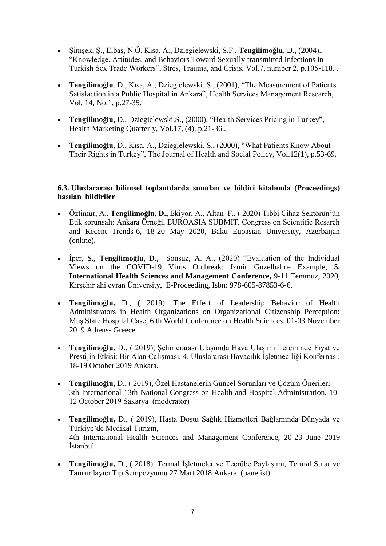- Şimşek, Ş., Elbaş, N.Ö, Kısa, A., Dziegielewski, S.F., **Tengilimoğlu**, D., (2004)., "Knowledge, Attitudes, and Behaviors Toward Sexually-transmitted Infections in Turkish Sex Trade Workers", Stres, Trauma, and Crisis, Vol.7, number 2, p.105-118. .
- **Tengilimoğlu**, D., Kısa, A., Dziegielewski, S., (2001), "The Measurement of Patients Satisfaction in a Public Hospital in Ankara", Health Services Management Research, Vol. 14, No.1, p.27-35.
- **Tengilimoğlu**, D., Dziegielewski,S., (2000), "Health Services Pricing in Turkey", Health Marketing Quarterly, Vol.17, (4), p.21-36..
- **Tengilimoğlu**, D., Kısa, A., Dziegielewski, S., (2000), "What Patients Know About Their Rights in Turkey", The Journal of Health and Social Policy, Vol.12(1), p.53-69.

#### **6.3. Uluslararası bilimsel toplantılarda sunulan ve bildiri kitabında (Proceedings) basılan bildiriler**

- Öztimur, A., **Tengilimoğlu, D.,** Ekiyor, A., Altan F., ( 2020) Tıbbi Cihaz Sektörün'ün Etik sorunsalı: Ankara Örneği, EUROASIA SUBMIT, Congress on Scientific Resarch and Recent Trends-6, 18-20 May 2020, Baku Euoasian University, Azerbaijan (online),
- İper, **S., Tengilimoğlu, D.**, Sonsuz, A. A., (2020) "Evaluation of the Individual Views on the COVID-19 Virus Outbreak: Izmir Guzelbahce Example, **5. International Health Sciences and Management Conference,** 9-11 Temmuz, 2020, Kırşehir ahi evran Üniversity, E-Proceeding, Isbn: 978-605-87853-6-6.
- **Tengilimoğlu,** D., ( 2019), The Effect of Leadership Behavior of Health Administrators in Health Organizations on Organizational Citizenship Perception: Muş State Hospital Case, 6 th World Conference on Health Sciences, 01-03 November 2019 Athens- Greece.
- **Tengilimoğlu,** D., ( 2019), Şehirlerarası Ulaşımda Hava Ulaşımı Tercihinde Fiyat ve Prestijin Etkisi: Bir Alan Çalışması, 4. Uluslararası Havacılık İşletmeciliği Konfernası, 18-19 October 2019 Ankara.
- **Tengilimoğlu,** D., ( 2019), Özel Hastanelerin Güncel Sorunları ve Çözüm Önerileri 3th International 13th National Congress on Health and Hospital Administration, 10- 12 October 2019 Sakarya (moderatör)
- **Tengilimoğlu,** D., ( 2019), Hasta Dostu Sağlık Hizmetleri Bağlamında Dünyada ve Türkiye'de Medikal Turizm, 4th International Health Sciences and Management Conference, 20-23 June 2019 İstanbul
- **Tengilimoğlu,** D., ( 2018), Termal İşletmeler ve Tecrübe Paylaşımı, Termal Sular ve Tamamlayıcı Tıp Sempozyumu 27 Mart 2018 Ankara. (panelist)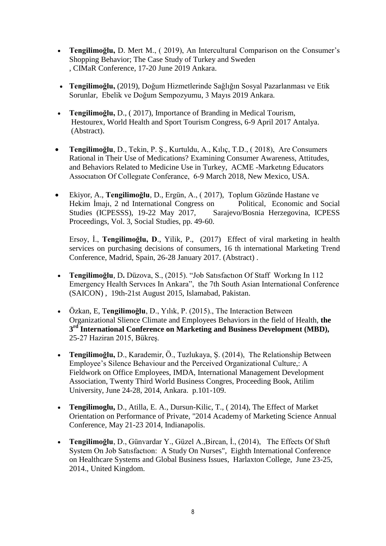- **Tengilimoğlu,** D. Mert M., ( 2019), An Intercultural Comparison on the Consumer's Shopping Behavior; The Case Study of Turkey and Sweden , CIMaR Conference, 17-20 June 2019 Ankara.
- **Tengilimoğlu,** (2019), Doğum Hizmetlerinde Sağlığın Sosyal Pazarlanması ve Etik Sorunlar, Ebelik ve Doğum Sempozyumu, 3 Mayıs 2019 Ankara.
- **Tengilimoğlu,** D., ( 2017), Importance of Branding in Medical Tourism, Hestourex, World Health and Sport Tourism Congress, 6-9 April 2017 Antalya. (Abstract).
- **Tengilimoğlu**, D., Tekin, P. Ş., Kurtuldu, A., Kılıç, T.D., ( 2018), Are Consumers Rational in Their Use of Medications? Examining Consumer Awareness, Attitudes, and Behaviors Related to Medicine Use in Turkey, ACME -Marketıng Educators Assocıatıon Of Collegıate Conferance, 6-9 March 2018, New Mexico, USA.
- Ekiyor, A., **Tengilimoğlu**, D., Ergün, A., ( 2017), Toplum Gözünde Hastane ve Hekim İmajı, 2 nd International Congress on Political, Economic and Social Studies (ICPESSS), 19-22 May 2017, Sarajevo/Bosnia Herzegovina, ICPESS Proceedings, Vol. 3, Social Studies, pp. 49-60.

Ersoy, İ., **Tengilimoğlu, D**., Yilik, P., (2017) Effect of viral marketing in health services on purchasing decisions of consumers, 16 th international Marketing Trend Conference, Madrid, Spain, 26-28 January 2017. (Abstract) .

- **Tengilimoğlu**, D. Düzova, S., (2015). "Job Satısfaction Of Staff Working In 112 Emergency Health Servıces In Ankara", the 7th South Asian International Conference (SAICON) , 19th-21st August 2015, Islamabad, Pakistan.
- Özkan, E, T**engilimoğlu**, D., Yılık, P. (2015)., The Interaction Between Organizational Slience Climate and Employees Behaviors in the field of Health, **the 3 rd International Conference on Marketing and Business Development (MBD),** 25-27 Haziran 2015, Bükreş.
- **Tengilimoğlu,** D., Karademir, Ö., Tuzlukaya, Ş. (2014), The Relationship Between Employee's Silence Behaviour and the Perceived Organizational Culture,: A Fieldwork on Office Employees, IMDA, International Management Development Association, Twenty Third World Business Congres, Proceeding Book, Atilim University, June 24-28, 2014, Ankara. p.101-109.
- **Tengilimoglu,** D., Atilla, E. A., Dursun-Kilic, T., ( 2014), The Effect of Market Orientation on Performance of Private, "2014 Academy of Marketing Science Annual Conference, May 21-23 2014, Indianapolis.
- **Tengilimoğlu**, D., Günvardar Y., Güzel A.,Bircan, İ., (2014), The Effects Of Shıft System On Job Satısfactıon: A Study On Nurses", Eighth International Conference on Healthcare Systems and Global Business Issues, Harlaxton College, June 23-25, 2014., United Kingdom.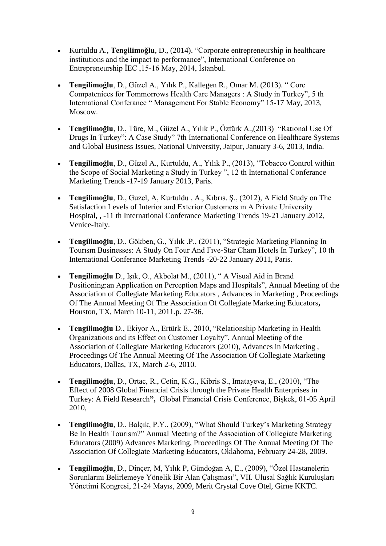- Kurtuldu A., **Tengilimoğlu**, D., (2014). "Corporate entrepreneurship in healthcare institutions and the impact to performance", International Conference on Entrepreneurship İEC ,15-16 May, 2014, İstanbul.
- **Tengilimoğlu**, D., Güzel A., Yılık P., Kallegen R., Omar M. (2013). " Core Compatenices for Tommorrows Health Care Managers : A Study in Turkey", 5 th International Conferance " Management For Stable Economy" 15-17 May, 2013, Moscow.
- **Tengilimoğlu**, D., Türe, M., Güzel A., Yılık P., Öztürk A.,(2013) "Ratıonal Use Of Drugs In Turkey": A Case Study" 7th International Conference on Healthcare Systems and Global Business Issues, National University, Jaipur, January 3-6, 2013, India.
- **Tengilimoğlu**, D., Güzel A., Kurtuldu, A., Yılık P., (2013), "Tobacco Control within the Scope of Social Marketing a Study in Turkey ", 12 th International Conferance Marketing Trends -17-19 January 2013, Paris.
- **Tengilimoğlu**, D., Guzel, A, Kurtuldu , A., Kıbrıs, Ş., (2012), A Field Study on The Satisfaction Levels of Interior and Exterior Customers ın A Private University Hospital, **,** -11 th International Conferance Marketing Trends 19-21 January 2012, Venice-Italy.
- **Tengilimoğlu**, D., Gökben, G., Yılık .P., (2011), "Strategic Marketing Planning In Tourısm Businesses: A Study On Four And Fıve-Star Chaın Hotels In Turkey", 10 th International Conferance Marketing Trends -20-22 January 2011, Paris.
- **Tengilimoğlu** D., Işık, O., Akbolat M., (2011), " A Visual Aid in Brand Positioning:an Application on Perception Maps and Hospitals", Annual Meeting of the Association of Collegiate Marketing Educators , Advances in Marketing , Proceedings Of The Annual Meeting Of The Association Of Collegiate Marketing Educators**,** Houston, TX, March 10-11, 2011.p. 27-36.
- **Tengilimoğlu** D., Ekiyor A., Ertürk E., 2010, "Relationship Marketing in Health Organizations and its Effect on Customer Loyalty", Annual Meeting of the Association of Collegiate Marketing Educators (2010), Advances in Marketing , Proceedings Of The Annual Meeting Of The Association Of Collegiate Marketing Educators, Dallas, TX, March 2-6, 2010.
- **Tengilimoğlu**, D., Ortac, R., Cetin, K.G., Kibris S., Imatayeva, E., (2010), "The Effect of 2008 Global Financial Crisis through the Private Health Enterprises in Turkey: A Field Research**",** Global Financial Crisis Conference, Bişkek, 01-05 April 2010,
- **Tengilimoğlu**, D., Balçık, P.Y., (2009), "What Should Turkey's Marketing Strategy Be In Health Tourism?" Annual Meeting of the Association of Collegiate Marketing Educators (2009) Advances Marketing, Proceedings Of The Annual Meeting Of The Association Of Collegiate Marketing Educators, Oklahoma, February 24-28, 2009.
- **Tengilimoğlu**, D., Dinçer, M, Yılık P, Gündoğan A, E., (2009), "Özel Hastanelerin Sorunlarını Belirlemeye Yönelik Bir Alan Çalışması", VII. Ulusal Sağlık Kuruluşları Yönetimi Kongresi, 21-24 Mayıs, 2009, Merit Crystal Cove Otel, Girne KKTC.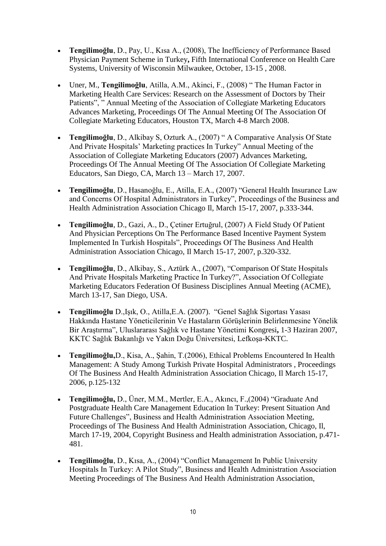- **Tengilimoğlu**, D., Pay, U., Kısa A., (2008), The Inefficiency of Performance Based Physician Payment Scheme in Turkey**,** Fifth International Conference on Health Care Systems, University of Wisconsin Milwaukee, October, 13-15 , 2008.
- Uner, M., **Tengilimoğlu**, Atilla, A.M., Akinci, F., (2008) " The Human Factor in Marketing Health Care Services: Research on the Assessment of Doctors by Their Patients", " Annual Meeting of the Association of Collegiate Marketing Educators Advances Marketing, Proceedings Of The Annual Meeting Of The Association Of Collegiate Marketing Educators, Houston TX, March 4-8 March 2008.
- **Tengilimoğlu**, D., Alkibay S, Ozturk A., (2007) " A Comparative Analysis Of State And Private Hospitals' Marketing practices In Turkey" Annual Meeting of the Association of Collegiate Marketing Educators (2007) Advances Marketing, Proceedings Of The Annual Meeting Of The Association Of Collegiate Marketing Educators, San Diego, CA, March 13 – March 17, 2007.
- **Tengilimoğlu**, D., Hasanoğlu, E., Atilla, E.A., (2007) "General Health Insurance Law and Concerns Of Hospital Administrators in Turkey", Proceedings of the Business and Health Administration Association Chicago Il, March 15-17, 2007, p.333-344.
- **Tengilimoğlu**, D., Gazi, A., D., Çetiner Ertuğrul, (2007) A Field Study Of Patient And Physician Perceptions On The Performance Based Incentive Payment System Implemented In Turkish Hospitals", Proceedings Of The Business And Health Administration Association Chicago, Il March 15-17, 2007, p.320-332.
- **Tengilimoğlu**, D., Alkibay, S., Aztürk A., (2007), "Comparison Of State Hospitals And Private Hospitals Marketing Practice In Turkey?", Association Of Collegiate Marketing Educators Federation Of Business Disciplines Annual Meeting (ACME), March 13-17, San Diego, USA.
- **Tengilimoğlu** D.,Işık, O., Atilla,E.A. (2007). "Genel Sağlık Sigortası Yasası Hakkında Hastane Yöneticilerinin Ve Hastaların Görüşlerinin Belirlenmesine Yönelik Bir Araştırma", Uluslararası Sağlık ve Hastane Yönetimi Kongresi**,** 1-3 Haziran 2007, KKTC Sağlık Bakanlığı ve Yakın Doğu Üniversitesi, Lefkoşa-KKTC.
- **Tengilimoğlu,**D., Kisa, A., Şahin, T.(2006), Ethical Problems Encountered In Health Management: A Study Among Turkish Private Hospital Administrators , Proceedings Of The Business And Health Administration Association Chicago, Il March 15-17, 2006, p.125-132
- **Tengilimoğlu,** D., Üner, M.M., Mertler, E.A., Akıncı, F.,(2004) "Graduate And Postgraduate Health Care Management Education In Turkey: Present Situation And Future Challenges", Business and Health Administration Association Meeting, Proceedings of The Business And Health Administration Association, Chicago, Il, March 17-19, 2004, Copyright Business and Health administration Association, p.471- 481.
- **Tengilimoğlu**, D., Kısa, A., (2004) "Conflict Management In Public University Hospitals In Turkey: A Pilot Study", Business and Health Administration Association Meeting Proceedings of The Business And Health Administration Association,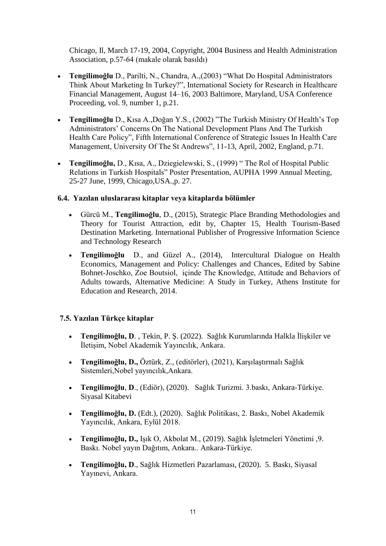Chicago, Il, March 17-19, 2004, Copyright, 2004 Business and Health Administration Association, p.57-64 (makale olarak basıldı)

- **Tengilimoğlu** D., Parilti, N., Chandra, A.,(2003) "What Do Hospital Administrators Think About Marketing In Turkey?", International Society for Research in Healthcare Financial Management, August 14–16, 2003 Baltimore, Maryland, USA Conference Proceeding, vol. 9, number 1, p.21.
- **Tengilimoğlu** D., Kısa A.,Doğan Y.S., (2002) "The Turkish Ministry Of Health's Top Administrators' Concerns On The National Development Plans And The Turkish Health Care Policy", Fifth International Conference of Strategic Issues In Health Care Management, University Of The St Andrews", 11-13, April, 2002, England, p.71.
- **Tengilimoğlu,** D., Kısa, A., Dziegielewski, S., (1999) " The Rol of Hospital Public Relations in Turkish Hospitals" Poster Presentation, AUPHA 1999 Annual Meeting, 25-27 June, 1999, Chicago,USA.,p. 27.

#### **6.4. Yazılan uluslararası kitaplar veya kitaplarda bölümler**

- Gürcü M., **Tengilimoğlu**, D., (2015), Strategic Place Branding Methodologies and Theory for Tourist Attraction, edit by, Chapter 15, Health Tourism-Based Destination Marketing. International Publisher of Progressive Information Science and Technology Research
- **Tengilimoğlu** D., and Güzel A., (2014), Intercultural Dialogue on Health Economics, Management and Policy: Challenges and Chances, Edited by Sabine Bohnet-Joschko, Zoe Boutsiol, içinde The Knowledge, Attitude and Behaviors of Adults towards, Alternative Medicine: A Study in Turkey, Athens Institute for Education and Research, 2014.

### **7.5. Yazılan Türkçe kitaplar**

- **Tengilimoğlu, D**. , Tekin, P. Ş. (2022). Sağlık Kurumlarında Halkla İlişkiler ve İletişim, Nobel Akademik Yayıncılık, Ankara.
- **Tengilimoğlu, D.,** Öztürk, Z., (editörler), (2021), Karşılaştırmalı Sağlık Sistemleri,Nobel yayıncılık,Ankara.
- **Tengilimoğlu**, **D**., (Ediör), (2020). Sağlık Turizmi. 3.baskı, Ankara-Türkiye. Siyasal Kitabevi
- **Tengilimoğlu, D.** (Edt.), (2020). Sağlık Politikası, 2. Baskı, Nobel Akademik Yayıncılık, Ankara, Eylül 2018.
- **Tengilimoğlu, D.,** Işık O, Akbolat M., (2019). Sağlık İşletmeleri Yönetimi ,9. Baskı. Nobel yayın Dağıtım, Ankara.. Ankara-Türkiye.
- **Tengilimoğlu, D**., Sağlık Hizmetleri Pazarlaması, (2020). 5. Baskı, Siyasal Yayınevi, Ankara.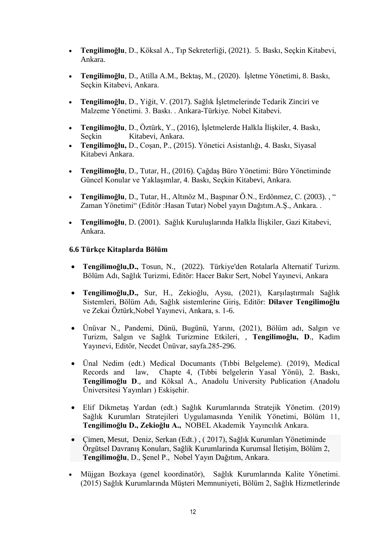- **Tengilimoğlu**, D., Köksal A., Tıp Sekreterliği, (2021). 5. Baskı, Seçkin Kitabevi, Ankara.
- **Tengilimoğlu**, D., Atilla A.M., Bektaş, M., (2020). İşletme Yönetimi, 8. Baskı, Seçkin Kitabevi, Ankara.
- **Tengilimoğlu**, D., Yiğit, V. (2017). Sağlık İşletmelerinde Tedarik Zinciri ve Malzeme Yönetimi. 3. Baskı. . Ankara-Türkiye. Nobel Kitabevi.
- **Tengilimoğlu**, D., Öztürk, Y., (2016), İşletmelerde Halkla İlişkiler, 4. Baskı, Seçkin Kitabevi, Ankara.
- **Tengilimoğlu,** D., Coşan, P., (2015). Yönetici Asistanlığı, 4. Baskı, Siyasal Kitabevi Ankara.
- **Tengilimoğlu**, D., Tutar, H., (2016). Çağdaş Büro Yönetimi: Büro Yönetiminde Güncel Konular ve Yaklaşımlar, 4. Baskı, Seçkin Kitabevi, Ankara.
- **Tengilimoğlu**, D., Tutar, H., Altınöz M., Başpınar Ö.N., Erdönmez, C. (2003). , " Zaman Yönetimi" (Editör :Hasan Tutar) Nobel yayın Dağıtım.A.Ş., Ankara. .
- **Tengilimoğlu**, D. (2001). Sağlık Kuruluşlarında Halkla İlişkiler, Gazi Kitabevi, Ankara.

### **6.6 Türkçe Kitaplarda Bölüm**

- **Tengilimoğlu,D.,** Tosun, N., (2022). Türkiye'den Rotalarla Alternatif Turizm. Bölüm Adı, Sağlık Turizmi, Editör: Hacer Bakır Sert, Nobel Yayınevi, Ankara
- **Tengilimoğlu,D.,** Sur, H., Zekioğlu, Aysu, (2021), Karşılaştırmalı Sağlık Sistemleri, Bölüm Adı, Sağlık sistemlerine Giriş, Editör: **Dilaver Tengilimoğlu** ve Zekai Öztürk,Nobel Yayınevi, Ankara, s. 1-6.
- Ünüvar N., Pandemi, Dünü, Bugünü, Yarını, (2021), Bölüm adı, Salgın ve Turizm, Salgın ve Sağlık Turizmine Etkileri, , **Tengilimoğlu, D**., Kadim Yayınevi, Editör, Necdet Ünüvar, sayfa.285-296.
- Ünal Nedim (edt.) Medical Documants (Tıbbi Belgeleme). (2019), Medical Records and law, Chapte 4, (Tıbbi belgelerin Yasal Yönü), 2. Baskı, **Tengilimoğlu D**., and Köksal A., Anadolu University Publication (Anadolu Üniversitesi Yayınları ) Eskişehir.
- Elif Dikmetaş Yardan (edt.) Sağlık Kurumlarında Stratejik Yönetim. (2019) Sağlık Kurumları Stratejileri Uygulamasında Yenilik Yönetimi, Bölüm 11, **Tengilimoğlu D., Zekioğlu A.,** NOBEL Akademik Yayıncılık Ankara.
- Çimen, Mesut, Deniz, Serkan (Edt.) , ( 2017), Sağlık Kurumları Yönetiminde Örgütsel Davranış Konuları, Sağlik Kurumlarinda Kurumsal İletişim, Bölüm 2, **Tengilimoğlu**, D., Şenel P., Nobel Yayın Dağıtım, Ankara.
- Müjgan Bozkaya (genel koordinatör), Sağlık Kurumlarında Kalite Yönetimi. (2015) Sağlık Kurumlarında Müşteri Memnuniyeti, Bölüm 2, Sağlık Hizmetlerinde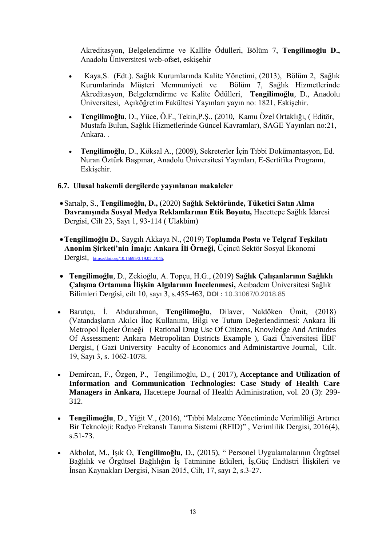Akreditasyon, Belgelendirme ve Kallite Ödülleri, Bölüm 7, **Tengilimoğlu D.,**  Anadolu Üniversitesi web-ofset, eskişehir

- Kaya,S. (Edt.). Sağlık Kurumlarında Kalite Yönetimi, (2013), Bölüm 2, Sağlık Kurumlarinda Müşteri Memnuniyeti ve Bölüm 7, Sağlık Hizmetlerinde Akreditasyon, Belgelerndirme ve Kalite Ödülleri, **Tengilimoğlu**, D., Anadolu Üniversitesi, Açıköğretim Fakültesi Yayınları yayın no: 1821, Eskişehir.
- **Tengilimoğlu**, D., Yüce, Ö.F., Tekin,P.Ş., (2010, Kamu Özel Ortaklığı, ( Editör, Mustafa Bulun, Sağlık Hizmetlerinde Güncel Kavramlar), SAGE Yayınları no:21, Ankara. .
- **Tengilimoğlu**, D., Köksal A., (2009), Sekreterler İçin Tıbbi Dokümantasyon, Ed. Nuran Öztürk Başpınar, Anadolu Üniversitesi Yayınları, E-Sertifika Programı, Eskişehir.

#### **6.7. Ulusal hakemli dergilerde yayınlanan makaleler**

- Sarıalp, S., **Tengilimoğlu, D.,** (2020) **Sağlık Sektöründe, Tüketici Satın Alma Davranışında Sosyal Medya Reklamlarının Etik Boyutu,** Hacettepe Sağlık İdaresi Dergisi, Cilt 23, Sayı 1, 93-114 ( Ulakbim)
- **Tengilimoğlu D.**, Saygılı Akkaya N., (2019) **Toplumda Posta ve Telgraf Teşkilatı Anonim Şirketi'nin İmajı: Ankara İli Örneği,** Üçincü Sektör Sosyal Ekonomi Dergisi, [https://doi.org/10.15695/3.19.02..1045,](https://doi.org/10.15695/3.19.02..1045)
- **Tengilimoğlu**, D., Zekioğlu, A. Topçu, H.G., (2019) **Sağlık Çalışanlarının Sağlıklı Çalışma Ortamına İlişkin Algılarının İncelenmesi,** Acıbadem Üniversitesi Sağlık Bilimleri Dergisi, cilt 10, sayı 3, s.455-463, **DOI :** 10.31067/0.2018.85
- Barutçu, İ. Abdurahman, **Tengilimoğlu**, Dilaver, Naldöken Ümit, (2018) (Vatandaşların Akılcı İlaç Kullanımı, Bilgi ve Tutum Değerlendirmesi: Ankara İli Metropol İlçeler Örneği ( Rational Drug Use Of Citizens, Knowledge And Attitudes Of Assessment: Ankara Metropolitan Districts Example ), Gazi Üniversitesi İİBF Dergisi, ( Gazi University Faculty of Economics and Administartive Journal, Cilt. 19, Sayı 3, s. 1062-1078.
- Demircan, F., Özgen, P., Tengilimoğlu, D., ( 2017), **Acceptance and Utilization of Information and Communication Technologies: Case Study of Health Care Managers in Ankara,** Hacettepe Journal of Health Administration, vol. 20 (3): 299- 312.
- **Tengilimoğlu**, D., Yiğit V., (2016), "Tıbbi Malzeme Yönetiminde Verimliliği Artırıcı Bir Teknoloji: Radyo Frekanslı Tanıma Sistemi (RFID)" , Verimlilik Dergisi, 2016(4), s.51-73.
- Akbolat, M., Işık O, **Tengilimoğlu**, D., (2015), " Personel Uygulamalarının Örgütsel Bağlılık ve Örgütsel Bağlılığın İş Tatminine Etkileri, İş,Güç Endüstri İlişkileri ve İnsan Kaynakları Dergisi, Nisan 2015, Cilt, 17, sayı 2, s.3-27.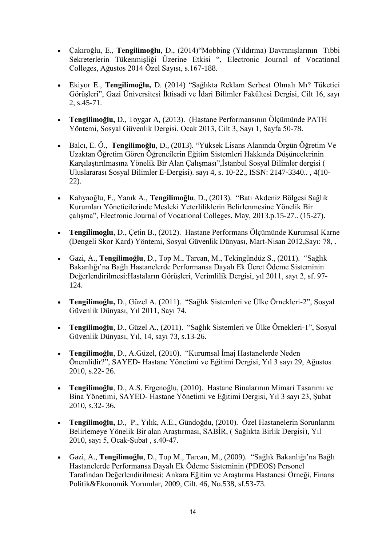- Çakıroğlu, E., **Tengilimoğlu,** D., (2014)"Mobbing (Yıldırma) Davranışlarının Tıbbi Sekreterlerin Tükenmişliği Üzerine Etkisi ", Electronic Journal of Vocational Colleges, Ağustos 2014 Özel Sayısı, s.167-188.
- Ekiyor E., **Tengilimoğlu,** D. (2014) ["Sağlıkta Reklam Serbest Olmalı Mı? Tüketici](http://iibfdergisi.gazi.edu.tr/index.php/iibfdergisi/article/view/716)  [Görüşleri"](http://iibfdergisi.gazi.edu.tr/index.php/iibfdergisi/article/view/716), Gazi Üniversitesi İktisadi ve İdari Bilimler Fakültesi Dergisi, Cilt 16, sayı 2, s.45-71.
- **Tengilimoğlu,** D., Toygar A, (2013). (Hastane Performansının Ölçümünde PATH Yöntemi, Sosyal Güvenlik Dergisi. Ocak 2013, Cilt 3, Sayı 1, Sayfa 50-78.
- Balcı, E. Ö., **Tengilimoğlu**, D., (2013). "Yüksek Lisans Alanında Örgün Öğretim Ve Uzaktan Öğretim Gören Öğrencilerin Eğitim Sistemleri Hakkında Düşüncelerinin Karşılaştırılmasına Yönelik Bir Alan Çalışması",İstanbul Sosyal Bilimler dergisi ( Uluslararası Sosyal Bilimler E-Dergisi). sayı 4, s. 10-22., ISSN: 2147-3340.. , 4(10- 22).
- Kahyaoğlu, F., Yanık A., **Tengilimoğlu**, D., (2013). "Batı Akdeniz Bölgesi Sağlık Kurumları Yöneticilerinde Mesleki Yeterliliklerin Belirlenmesine Yönelik Bir çalışma", Electronic Journal of Vocational Colleges, May, 2013.p.15-27.. (15-27).
- **Tengilimoglu**, D., Çetin B., (2012). Hastane Performans Ölçümünde Kurumsal Karne (Dengeli Skor Kard) Yöntemi, Sosyal Güvenlik Dünyası, Mart-Nisan 2012,Sayı: 78, .
- Gazi, A., **Tengilimoğlu**, D., Top M., Tarcan, M., Tekingündüz S., (2011). "Sağlık Bakanlığı'na Bağlı Hastanelerde Performansa Dayalı Ek Ücret Ödeme Sisteminin Değerlendirilmesi:Hastaların Görüşleri, Verimlilik Dergisi, yıl 2011, sayı 2, sf. 97- 124.
- **Tengilimoğlu,** D., Güzel A. (2011). "Sağlık Sistemleri ve Ülke Örnekleri-2", Sosyal Güvenlik Dünyası, Yıl 2011, Sayı 74.
- **Tengilimoğlu**, D., Güzel A., (2011). "Sağlık Sistemleri ve Ülke Örnekleri-1", Sosyal Güvenlik Dünyası, Yıl, 14, sayı 73, s.13-26.
- **Tengilimoğlu**, D., A.Güzel, (2010). "Kurumsal İmaj Hastanelerde Neden Önemlidir?", SAYED- Hastane Yönetimi ve Eğitimi Dergisi, Yıl 3 sayı 29, Ağustos 2010, s.22- 26.
- **Tengilimoğlu**, D., A.S. Ergenoğlu, (2010). Hastane Binalarının Mimari Tasarımı ve Bina Yönetimi, SAYED- Hastane Yönetimi ve Eğitimi Dergisi, Yıl 3 sayı 23, Şubat 2010, s.32- 36.
- **Tengilimoğlu,** D., P., Yılık, A.E., Gündoğdu, (2010). Özel Hastanelerin Sorunlarını Belirlemeye Yönelik Bir alan Araştırması, SABİR, ( Sağlıkta Birlik Dergisi), Yıl 2010, sayı 5, Ocak-Şubat , s.40-47.
- Gazi, A., **Tengilimoğlu**, D., Top M., Tarcan, M., (2009). "Sağlık Bakanlığı'na Bağlı Hastanelerde Performansa Dayalı Ek Ödeme Sisteminin (PDEOS) Personel Tarafından Değerlendirilmesi: Ankara Eğitim ve Araştırma Hastanesi Örneği, Finans Politik&Ekonomik Yorumlar, 2009, Cilt. 46, No.538, sf.53-73.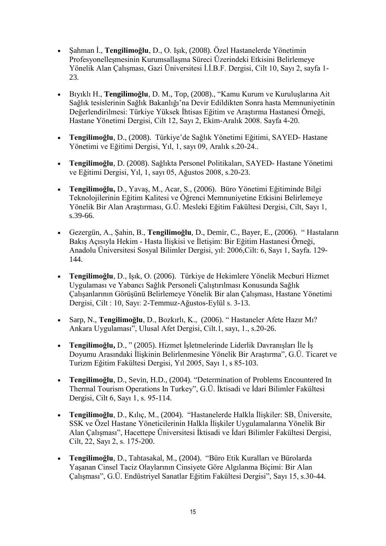- Şahman İ., **Tengilimoğlu**, D., O. Işık, (2008). Özel Hastanelerde Yönetimin Profesyonelleşmesinin Kurumsallaşma Süreci Üzerindeki Etkisini Belirlemeye Yönelik Alan Çalışması, Gazi Üniversitesi İ.İ.B.F. Dergisi, Cilt 10, Sayı 2, sayfa 1- 23.
- Bıyıklı H., **Tengilimoğlu**, D. M., Top, (2008)., "Kamu Kurum ve Kuruluşlarına Ait Sağlık tesislerinin Sağlık Bakanlığı'na Devir Edildikten Sonra hasta Memnuniyetinin Değerlendirilmesi: Türkiye Yüksek İhtisas Eğitim ve Araştırma Hastanesi Örneği, Hastane Yönetimi Dergisi, Cilt 12, Sayı 2, Ekim-Aralık 2008. Sayfa 4-20.
- **Tengilimoğlu**, D., (2008). Türkiye'de Sağlık Yönetimi Eğitimi, SAYED- Hastane Yönetimi ve Eğitimi Dergisi, Yıl, 1, sayı 09, Aralık s.20-24..
- **Tengilimoğlu**, D. (2008). Sağlıkta Personel Politikaları, SAYED- Hastane Yönetimi ve Eğitimi Dergisi, Yıl, 1, sayı 05, Ağustos 2008, s.20-23.
- **Tengilimoğlu,** D., Yavaş, M., Acar, S., (2006). Büro Yönetimi Eğitiminde Bilgi Teknolojilerinin Eğitim Kalitesi ve Öğrenci Memnuniyetine Etkisini Belirlemeye Yönelik Bir Alan Araştırması, G.Ü. Mesleki Eğitim Fakültesi Dergisi, Cilt, Sayı 1, s.39-66.
- Gezergün, A., Şahin, B., **Tengilimoğlu**, D., Demir, C., Bayer, E., (2006). " Hastaların Bakış Açısıyla Hekim - Hasta İlişkisi ve İletişim: Bir Eğitim Hastanesi Örneği, Anadolu Üniversitesi Sosyal Bilimler Dergisi, yıl: 2006,Cilt: 6, Sayı 1, Sayfa. 129- 144.
- **Tengilimoğlu**, D., Işık, O. (2006). Türkiye de Hekimlere Yönelik Mecburi Hizmet Uygulaması ve Yabancı Sağlık Personeli Çalıştırılması Konusunda Sağlık Çalışanlarının Görüşünü Belirlemeye Yönelik Bir alan Çalışması, Hastane Yönetimi Dergisi, Cilt : 10, Sayı: 2-Temmuz-Ağustos-Eylül s. 3-13.
- Sarp, N., **Tengilimoğlu**, D., Bozkırlı, K., (2006). " Hastaneler Afete Hazır Mı? Ankara Uygulaması", Ulusal Afet Dergisi, Cilt.1, sayı, 1., s.20-26.
- **Tengilimoğlu,** D., " (2005). Hizmet İşletmelerinde Liderlik Davranışları İle İş Doyumu Arasındaki İlişkinin Belirlenmesine Yönelik Bir Araştırma", G.Ü. Ticaret ve Turizm Eğitim Fakültesi Dergisi, Yıl 2005, Sayı 1, s 85-103.
- **Tengilimoğlu**, D., Sevin, H.D., (2004). "Determination of Problems Encountered In Thermal Tourism Operations In Turkey", G.Ü. İktisadi ve İdari Bilimler Fakültesi Dergisi, Cilt 6, Sayı 1, s. 95-114.
- **Tengilimoğlu**, D., Kılıç, M., (2004). "Hastanelerde Halkla İlişkiler: SB, Üniversite, SSK ve Özel Hastane Yöneticilerinin Halkla İlişkiler Uygulamalarına Yönelik Bir Alan Çalışması", Hacettepe Üniversitesi İktisadi ve İdari Bilimler Fakültesi Dergisi, Cilt, 22, Sayı 2, s. 175-200.
- **Tengilimoğlu**, D., Tahtasakal, M., (2004). "Büro Etik Kuralları ve Bürolarda Yaşanan Cinsel Taciz Olaylarının Cinsiyete Göre Algılanma Biçimi: Bir Alan Çalışması", G.Ü. Endüstriyel Sanatlar Eğitim Fakültesi Dergisi", Sayı 15, s.30-44.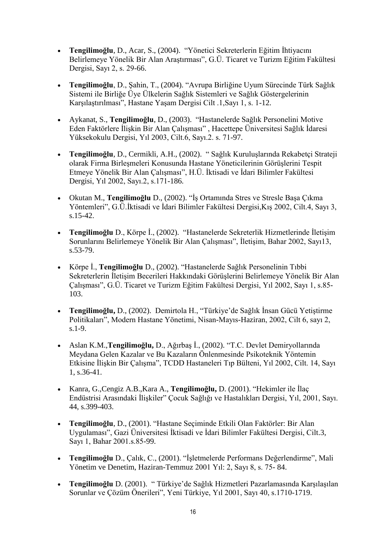- **Tengilimoğlu**, D., Acar, S., (2004). "Yönetici Sekreterlerin Eğitim İhtiyacını Belirlemeye Yönelik Bir Alan Araştırması", G.Ü. Ticaret ve Turizm Eğitim Fakültesi Dergisi, Sayı 2, s. 29-66.
- **Tengilimoğlu**, D., Şahin, T., (2004). "Avrupa Birliğine Uyum Sürecinde Türk Sağlık Sistemi ile Birliğe Üye Ülkelerin Sağlık Sistemleri ve Sağlık Göstergelerinin Karşılaştırılması", Hastane Yaşam Dergisi Cilt .1,Sayı 1, s. 1-12.
- Aykanat, S., **Tengilimoğlu**, D., (2003). "Hastanelerde Sağlık Personelini Motive Eden Faktörlere İlişkin Bir Alan Çalışması" , Hacettepe Üniversitesi Sağlık İdaresi Yüksekokulu Dergisi, Yıl 2003, Cilt.6, Sayı.2. s. 71-97.
- **Tengilimoğlu**, D., Cermikli, A.H., (2002). " Sağlık Kuruluşlarında Rekabetçi Strateji olarak Firma Birleşmeleri Konusunda Hastane Yöneticilerinin Görüşlerini Tespit Etmeye Yönelik Bir Alan Çalışması", H.Ü. İktisadi ve İdari Bilimler Fakültesi Dergisi, Yıl 2002, Sayı.2, s.171-186.
- Okutan M., **Tengilimoğlu** D., (2002). "İş Ortamında Stres ve Stresle Başa Çıkma Yöntemleri", G.Ü.İktisadi ve İdari Bilimler Fakültesi Dergisi,Kış 2002, Cilt.4, Sayı 3, s.15-42.
- **Tengilimoğlu** D., Körpe İ., (2002). "Hastanelerde Sekreterlik Hizmetlerinde İletişim Sorunlarını Belirlemeye Yönelik Bir Alan Çalışması", İletişim, Bahar 2002, Sayı13, s.53-79.
- Körpe İ., **Tengilimoğlu** D., (2002). "Hastanelerde Sağlık Personelinin Tıbbi Sekreterlerin İletişim Becerileri Hakkındaki Görüşlerini Belirlemeye Yönelik Bir Alan Çalışması", G.Ü. Ticaret ve Turizm Eğitim Fakültesi Dergisi, Yıl 2002, Sayı 1, s.85- 103.
- **Tengilimoğlu,** D., (2002). Demirtola H., "Türkiye'de Sağlık İnsan Gücü Yetiştirme Politikaları", Modern Hastane Yönetimi, Nisan-Mayıs-Haziran, 2002, Cilt 6, sayı 2, s.1-9.
- Aslan K.M.,**Tengilimoğlu,** D., Ağırbaş İ., (2002). "T.C. Devlet Demiryollarında Meydana Gelen Kazalar ve Bu Kazaların Önlenmesinde Psikoteknik Yöntemin Etkisine İlişkin Bir Çalışma", TCDD Hastaneleri Tıp Bülteni, Yıl 2002, Cilt. 14, Sayı 1, s.36-41.
- Kanra, G.,Cengiz A.B.,Kara A., **Tengilimoğlu,** D. (2001). "Hekimler ile İlaç Endüstrisi Arasındaki İlişkiler" Çocuk Sağlığı ve Hastalıkları Dergisi, Yıl, 2001, Sayı. 44, s.399-403.
- **Tengilimoğlu**, D., (2001). "Hastane Seçiminde Etkili Olan Faktörler: Bir Alan Uygulaması", Gazi Üniversitesi İktisadi ve İdari Bilimler Fakültesi Dergisi, Cilt.3, Sayı 1, Bahar 2001.s.85-99.
- **Tengilimoğlu** D., Çalık, C., (2001). "İşletmelerde Performans Değerlendirme", Mali Yönetim ve Denetim, Haziran-Temmuz 2001 Yıl: 2, Sayı 8, s. 75- 84.
- **Tengilimoğlu** D. (2001). " Türkiye'de Sağlık Hizmetleri Pazarlamasında Karşılaşılan Sorunlar ve Çözüm Önerileri", Yeni Türkiye, Yıl 2001, Sayı 40, s.1710-1719.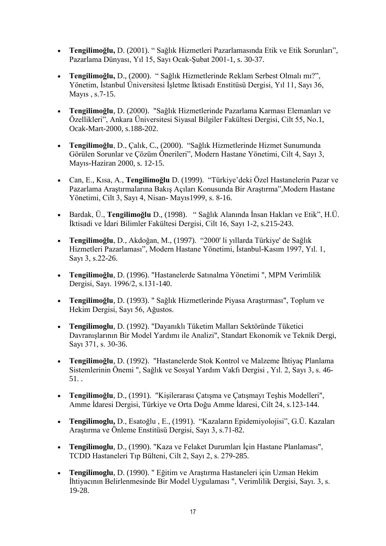- **Tengilimoğlu,** D. (2001). " Sağlık Hizmetleri Pazarlamasında Etik ve Etik Sorunları", Pazarlama Dünyası, Yıl 15, Sayı Ocak-Şubat 2001-1, s. 30-37.
- **Tengilimoğlu,** D., (2000). " Sağlık Hizmetlerinde Reklam Serbest Olmalı mı?", Yönetim, İstanbul Üniversitesi İşletme İktisadı Enstitüsü Dergisi, Yıl 11, Sayı 36, Mayıs , s.7-15.
- **Tengilimoğlu**, D. (2000). "Sağlık Hizmetlerinde Pazarlama Karması Elemanları ve Özellikleri", Ankara Üniversitesi Siyasal Bilgiler Fakültesi Dergisi, Cilt 55, No.1, Ocak-Mart-2000, s.188-202.
- **Tengilimoğlu**, D., Çalık, C., (2000). "Sağlık Hizmetlerinde Hizmet Sunumunda Görülen Sorunlar ve Çözüm Önerileri", Modern Hastane Yönetimi, Cilt 4, Sayı 3, Mayıs-Haziran 2000, s. 12-15.
- Can, E., Kısa, A., **Tengilimoğlu** D. (1999). "Türkiye'deki Özel Hastanelerin Pazar ve Pazarlama Araştırmalarına Bakış Açıları Konusunda Bir Araştırma",Modern Hastane Yönetimi, Cilt 3, Sayı 4, Nisan- Mayıs1999, s. 8-16.
- Bardak, Ü., **Tengilimoğlu** D., (1998). " Sağlık Alanında İnsan Hakları ve Etik", H.Ü. İktisadi ve İdari Bilimler Fakültesi Dergisi, Cilt 16, Sayı 1-2, s.215-243.
- **Tengilimoğlu**, D., Akdoğan, M., (1997). "2000' li yıllarda Türkiye' de Sağlık Hizmetleri Pazarlaması", Modern Hastane Yönetimi, İstanbul-Kasım 1997, Yıl. 1, Sayı 3, s.22-26.
- **Tengilimoğlu**, D. (1996). "Hastanelerde Satınalma Yönetimi ", MPM Verimlilik Dergisi, Sayı. 1996/2, s.131-140.
- **Tengilimoğlu**, D. (1993). " Sağlık Hizmetlerinde Piyasa Araştırması", Toplum ve Hekim Dergisi, Sayı 56, Ağustos.
- **Tengilimoglu**, D. (1992). "Dayanıklı Tüketim Malları Sektöründe Tüketici Davranışlarının Bir Model Yardımı ile Analizi", Standart Ekonomik ve Teknik Dergi, Sayı 371, s. 30-36.
- **Tengilimoğlu**, D. (1992). "Hastanelerde Stok Kontrol ve Malzeme İhtiyaç Planlama Sistemlerinin Önemi ", Sağlık ve Sosyal Yardım Vakfı Dergisi , Yıl. 2, Sayı 3, s. 46- 51. .
- **Tengilimoğlu**, D., (1991). "Kişilerarası Çatışma ve Çatışmayı Teşhis Modelleri", Amme İdaresi Dergisi, Türkiye ve Orta Doğu Amme İdaresi, Cilt 24, s.123-144.
- **Tengilimoglu,** D., Esatoğlu , E., (1991). "Kazaların Epidemiyolojisi", G.Ü. Kazaları Araştırma ve Önleme Enstitüsü Dergisi, Sayı 3, s.71-82.
- **Tengilimoglu**, D., (1990). "Kaza ve Felaket Durumları İçin Hastane Planlaması", TCDD Hastaneleri Tıp Bülteni, Cilt 2, Sayı 2, s. 279-285.
- **Tengilimoglu**, D. (1990). " Eğitim ve Araştırma Hastaneleri için Uzman Hekim İhtiyacının Belirlenmesinde Bir Model Uygulaması ", Verimlilik Dergisi, Sayı. 3, s. 19-28.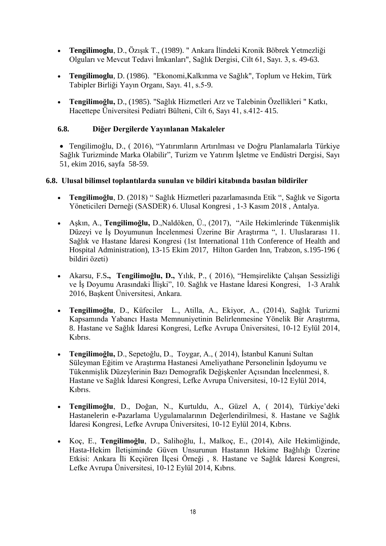- **Tengilimoglu**, D., Özışık T., (1989). " Ankara İlindeki Kronik Böbrek Yetmezliği Olguları ve Mevcut Tedavi İmkanları", Sağlık Dergisi, Cilt 61, Sayı. 3, s. 49-63.
- **Tengilimoglu**, D. (1986). "Ekonomi,Kalkınma ve Sağlık", Toplum ve Hekim, Türk Tabipler Birliği Yayın Organı, Sayı. 41, s.5-9.
- **Tengilimoğlu,** D., (1985). "Sağlık Hizmetleri Arz ve Talebinin Özellikleri " Katkı, Hacettepe Üniversitesi Pediatri Bülteni, Cilt 6, Sayı 41, s.412- 415.

## **6.8. Diğer Dergilerde Yayınlanan Makaleler**

 Tengilimoğlu, D., ( 2016), "Yatırımların Artırılması ve Doğru Planlamalarla Türkiye Sağlık Turizminde Marka Olabilir", Turizm ve Yatırım İşletme ve Endüstri Dergisi, Sayı 51, ekim 2016, sayfa 58-59.

#### **6.8. Ulusal bilimsel toplantılarda sunulan ve bildiri kitabında basılan bildiriler**

- **Tengilimoğlu**, D. (2018) " Sağlık Hizmetleri pazarlamasında Etik ", Sağlık ve Sigorta Yöneticileri Derneği (SASDER) 6. Ulusal Kongresi , 1-3 Kasım 2018 , Antalya.
- Aşkın, A., **Tengilimoğlu,** D.,Naldöken, Ü., (2017), "Aile Hekimlerinde Tükenmişlik Düzeyi ve İş Doyumunun İncelenmesi Üzerine Bir Araştırma ", 1. Uluslararası 11. Sağlık ve Hastane İdaresi Kongresi (1st International 11th Conference of Health and Hospital Administration), 13-15 Ekim 2017, Hilton Garden Inn, Trabzon, s.195-196 ( bildiri özeti)
- Akarsu, F.S**., Tengilimoğlu, D.,** Yılık, P., ( 2016), "Hemşirelikte Çalışan Sessizliği ve İş Doyumu Arasındaki İlişki", 10. Sağlık ve Hastane İdaresi Kongresi, 1-3 Aralık 2016, Başkent Üniversitesi, Ankara.
- **Tengilimoğlu**, D., Küfeciler L., Atilla, A., Ekiyor, A., (2014), Sağlık Turizmi Kapsamında Yabancı Hasta Memnuniyetinin Belirlenmesine Yönelik Bir Araştırma, 8. Hastane ve Sağlık İdaresi Kongresi, Lefke Avrupa Üniversitesi, 10-12 Eylül 2014, Kıbrıs.
- **Tengilimoğlu,** D., Sepetoğlu, D., Toygar, A., ( 2014), İstanbul Kanuni Sultan Süleyman Eğitim ve Araştırma Hastanesi Ameliyathane Personelinin İşdoyumu ve Tükenmişlik Düzeylerinin Bazı Demografik Değişkenler Açısından İncelenmesi, 8. Hastane ve Sağlık İdaresi Kongresi, Lefke Avrupa Üniversitesi, 10-12 Eylül 2014, Kıbrıs.
- **Tengilimoğlu**, D., Doğan, N., Kurtuldu, A., Güzel A, ( 2014), Türkiye'deki Hastanelerin e-Pazarlama Uygulamalarının Değerlendirilmesi, 8. Hastane ve Sağlık İdaresi Kongresi, Lefke Avrupa Üniversitesi, 10-12 Eylül 2014, Kıbrıs.
- Koç, E., **Tengilimoğlu**, D., Salihoğlu, İ., Malkoç, E., (2014), Aile Hekimliğinde, Hasta-Hekim İletişiminde Güven Unsurunun Hastanın Hekime Bağlılığı Üzerine Etkisi: Ankara İli Keçiören İlçesi Örneği , 8. Hastane ve Sağlık İdaresi Kongresi, Lefke Avrupa Üniversitesi, 10-12 Eylül 2014, Kıbrıs.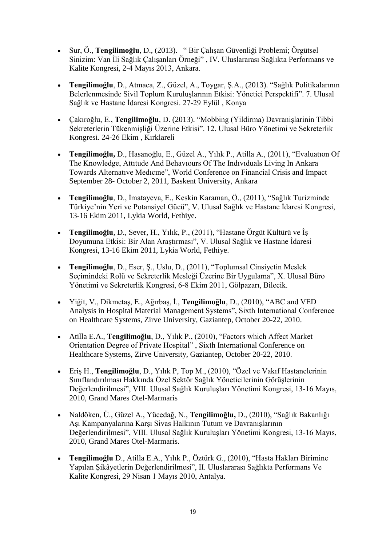- Sur, Ö., **Tengilimoğlu**, D., (2013). " Bir Çalışan Güvenliği Problemi; Örgütsel Sinizim: Van İli Sağlık Çalışanları Örneği" , IV. Uluslararası Sağlıkta Performans ve Kalite Kongresi, 2-4 Mayıs 2013, Ankara.
- **Tengilimoğlu**, D., Atmaca, Z., Güzel, A., Toygar, Ş.A., (2013). "Sağlık Politikalarının Belerlenmesinde Sivil Toplum Kuruluşlarının Etkisi: Yönetici Perspektifi". 7. Ulusal Sağlık ve Hastane İdaresi Kongresi. 27-29 Eylül , Konya
- Çakıroğlu, E., **Tengilimoğlu**, D. (2013). "Mobbing (Yildirma) Davranişlarinin Tibbi Sekreterlerin Tükenmişliği Üzerine Etkisi". 12. Ulusal Büro Yönetimi ve Sekreterlik Kongresi. 24-26 Ekim , Kırklareli
- **Tengilimoğlu,** D., Hasanoğlu, E., Güzel A., Yılık P., Atilla A., (2011), "Evaluatıon Of The Knowledge, Attıtude And Behavıours Of The Indıvıduals Living In Ankara Towards Alternatıve Medıcıne", World Conference on Financial Crisis and Impact September 28- October 2, 2011, Baskent University, Ankara
- **Tengilimoğlu**, D., İmatayeva, E., Keskin Karaman, Ö., (2011), "Sağlık Turizminde Türkiye'nin Yeri ve Potansiyel Gücü", V. Ulusal Sağlık ve Hastane İdaresi Kongresi, 13-16 Ekim 2011, Lykia World, Fethiye.
- **Tengilimoğlu**, D., Sever, H., Yılık, P., (2011), "Hastane Örgüt Kültürü ve İş Doyumuna Etkisi: Bir Alan Araştırması", V. Ulusal Sağlık ve Hastane İdaresi Kongresi, 13-16 Ekim 2011, Lykia World, Fethiye.
- **Tengilimoğlu**, D., Eser, Ş., Uslu, D., (2011), "Toplumsal Cinsiyetin Meslek Seçimindeki Rolü ve Sekreterlik Mesleği Üzerine Bir Uygulama", X. Ulusal Büro Yönetimi ve Sekreterlik Kongresi, 6-8 Ekim 2011, Gölpazarı, Bilecik.
- Yiğit, V., Dikmetaş, E., Ağırbaş, İ., **Tengilimoğlu**, D., (2010), "ABC and VED Analysis in Hospital Material Management Systems", Sixth International Conference on Healthcare Systems, Zirve University, Gaziantep, October 20-22, 2010.
- Atilla E.A., **Tengilimoğlu**, D., Yılık P., (2010), "Factors which Affect Market Orientation Degree of Private Hospital" , Sixth International Conference on Healthcare Systems, Zirve University, Gaziantep, October 20-22, 2010.
- Eriş H., **Tengilimoğlu**, D., Yılık P, Top M., (2010), "Özel ve Vakıf Hastanelerinin Sınıflandırılması Hakkında Özel Sektör Sağlık Yöneticilerinin Görüşlerinin Değerlendirilmesi", VIII. Ulusal Sağlık Kuruluşları Yönetimi Kongresi, 13-16 Mayıs, 2010, Grand Mares Otel-Marmaris
- Naldöken, Ü., Güzel A., Yücedağ, N., **Tengilimoğlu,** D., (2010), "Sağlık Bakanlığı Aşı Kampanyalarına Karşı Sivas Halkının Tutum ve Davranışlarının Değerlendirilmesi", VIII. Ulusal Sağlık Kuruluşları Yönetimi Kongresi, 13-16 Mayıs, 2010, Grand Mares Otel-Marmaris.
- **Tengilimoğlu** D., Atilla E.A., Yılık P., Öztürk G., (2010), "Hasta Hakları Birimine Yapılan Şikâyetlerin Değerlendirilmesi", II. Uluslararası Sağlıkta Performans Ve Kalite Kongresi, 29 Nisan 1 Mayıs 2010, Antalya.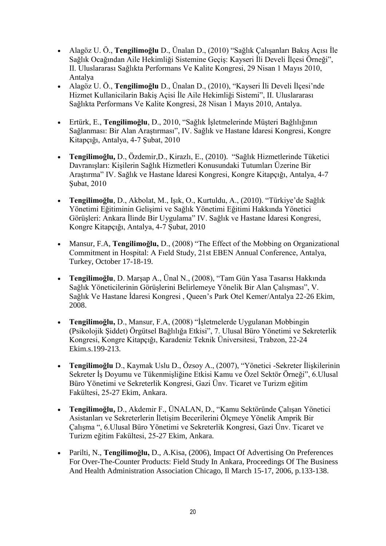- Alagöz U. Ö., **Tengilimoğlu** D., Ünalan D., (2010) "Sağlık Çalışanları Bakış Açısı İle Sağlık Ocağından Aile Hekimliği Sistemine Geçiş: Kayseri İli Develi İlçesi Örneği", II. Uluslararası Sağlıkta Performans Ve Kalite Kongresi, 29 Nisan 1 Mayıs 2010, Antalya
- Alagöz U. Ö., **Tengilimoğlu** D., Ünalan D., (2010), "Kayseri İli Develi İlçesi'nde Hizmet Kullanicilarin Bakiş Açisi İle Aile Hekimliği Sistemi", II. Uluslararası Sağlıkta Performans Ve Kalite Kongresi, 28 Nisan 1 Mayıs 2010, Antalya.
- Ertürk, E., **Tengilimoğlu**, D., 2010, "Sağlık İşletmelerinde Müşteri Bağlılığının Sağlanması: Bir Alan Araştırması", IV. Sağlık ve Hastane İdaresi Kongresi, Kongre Kitapçığı, Antalya, 4-7 Şubat, 2010
- **Tengilimoğlu,** D., Özdemir,D., Kirazlı, E., (2010). "Sağlık Hizmetlerinde Tüketici Davranışları: Kişilerin Sağlık Hizmetleri Konusundaki Tutumları Üzerine Bir Araştırma" IV. Sağlık ve Hastane İdaresi Kongresi, Kongre Kitapçığı, Antalya, 4-7 Şubat, 2010
- **Tengilimoğlu**, D., Akbolat, M., Işık, O., Kurtuldu, A., (2010). "Türkiye'de Sağlık Yönetimi Eğitiminin Gelişimi ve Sağlık Yönetimi Eğitimi Hakkında Yönetici Görüşleri: Ankara İlinde Bir Uygulama" IV. Sağlık ve Hastane İdaresi Kongresi, Kongre Kitapçığı, Antalya, 4-7 Şubat, 2010
- Mansur, F.A, **Tengilimoğlu,** D., (2008) "The Effect of the Mobbing on Organizational Commitment in Hospital: A Fıeld Study, 21st EBEN Annual Conference, Antalya, Turkey, October 17-18-19.
- **Tengilimoğlu**, D. Marşap A., Ünal N., (2008), "Tam Gün Yasa Tasarısı Hakkında Sağlık Yöneticilerinin Görüşlerini Belirlemeye Yönelik Bir Alan Çalışması", V. Sağlık Ve Hastane İdaresi Kongresi , Queen's Park Otel Kemer/Antalya 22-26 Ekim, 2008.
- **Tengilimoğlu,** D., Mansur, F.A, (2008) "İşletmelerde Uygulanan Mobbingin (Psikolojik Şiddet) Örgütsel Bağlılığa Etkisi", 7. Ulusal Büro Yönetimi ve Sekreterlik Kongresi, Kongre Kitapçığı, Karadeniz Teknik Üniversitesi, Trabzon, 22-24 Ekim.s.199-213.
- **Tengilimoğlu** D., Kaymak Uslu D., Özsoy A., (2007), "Yönetici -Sekreter İlişkilerinin Sekreter İş Doyumu ve Tükenmişliğine Etkisi Kamu ve Özel Sektör Örneği", 6.Ulusal Büro Yönetimi ve Sekreterlik Kongresi, Gazi Ünv. Ticaret ve Turizm eğitim Fakültesi, 25-27 Ekim, Ankara.
- **Tengilimoğlu,** D., Akdemir F., ÜNALAN, D., "Kamu Sektöründe Çalışan Yönetici Asistanları ve Sekreterlerin İletişim Becerilerini Ölçmeye Yönelik Amprik Bir Çalışma ", 6.Ulusal Büro Yönetimi ve Sekreterlik Kongresi, Gazi Ünv. Ticaret ve Turizm eğitim Fakültesi, 25-27 Ekim, Ankara.
- Parilti, N., **Tengilimoğlu,** D., A.Kisa, (2006), Impact Of Advertising On Preferences For Over-The-Counter Products: Field Study In Ankara, Proceedings Of The Business And Health Administration Association Chicago, Il March 15-17, 2006, p.133-138.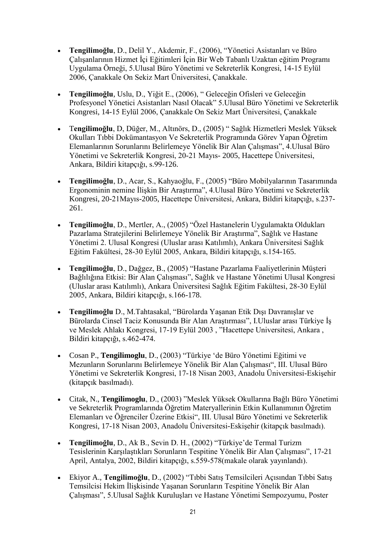- **Tengilimoğlu**, D., Delil Y., Akdemir, F., (2006), "Yönetici Asistanları ve Büro Çalışanlarının Hizmet İçi Eğitimleri İçin Bir Web Tabanlı Uzaktan eğitim Programı Uygulama Örneği, 5.Ulusal Büro Yönetimi ve Sekreterlik Kongresi, 14-15 Eylül 2006, Çanakkale On Sekiz Mart Üniversitesi, Çanakkale.
- **Tengilimoğlu**, Uslu, D., Yiğit E., (2006), " Geleceğin Ofisleri ve Geleceğin Profesyonel Yönetici Asistanları Nasıl Olacak" 5.Ulusal Büro Yönetimi ve Sekreterlik Kongresi, 14-15 Eylül 2006, Çanakkale On Sekiz Mart Üniversitesi, Çanakkale
- T**engilimoğlu**, D, Düğer, M., Altınörs, D., (2005) " Sağlık Hizmetleri Meslek Yüksek Okulları Tıbbi Dokümantasyon Ve Sekreterlik Programında Görev Yapan Öğretim Elemanlarının Sorunlarını Belirlemeye Yönelik Bir Alan Çalışması", 4.Ulusal Büro Yönetimi ve Sekreterlik Kongresi, 20-21 Mayıs- 2005, Hacettepe Üniversitesi, Ankara, Bildiri kitapçığı, s.99-126.
- **Tengilimoğlu**, D., Acar, S., Kahyaoğlu, F., (2005) "Büro Mobilyalarının Tasarımında Ergonominin nemine İlişkin Bir Araştırma", 4.Ulusal Büro Yönetimi ve Sekreterlik Kongresi, 20-21Mayıs-2005, Hacettepe Üniversitesi, Ankara, Bildiri kitapçığı, s.237- 261.
- **Tengilimoğlu**, D., Mertler, A., (2005) "Özel Hastanelerin Uygulamakta Oldukları Pazarlama Stratejilerini Belirlemeye Yönelik Bir Araştırma", Sağlık ve Hastane Yönetimi 2. Ulusal Kongresi (Uluslar arası Katılımlı), Ankara Üniversitesi Sağlık Eğitim Fakültesi, 28-30 Eylül 2005, Ankara, Bildiri kitapçığı, s.154-165.
- **Tengilimoğlu**, D., Dağgez, B., (2005) "Hastane Pazarlama Faaliyetlerinin Müşteri Bağlılığına Etkisi: Bir Alan Çalışması", Sağlık ve Hastane Yönetimi Ulusal Kongresi (Uluslar arası Katılımlı), Ankara Üniversitesi Sağlık Eğitim Fakültesi, 28-30 Eylül 2005, Ankara, Bildiri kitapçığı, s.166-178.
- **Tengilimoğlu** D., M.Tahtasakal, "Bürolarda Yaşanan Etik Dışı Davranışlar ve Bürolarda Cinsel Taciz Konusunda Bir Alan Araştırması", I.Uluslar arası Türkiye İş ve Meslek Ahlakı Kongresi, 17-19 Eylül 2003 , "Hacettepe Universitesi, Ankara , Bildiri kitapçığı, s.462-474.
- Cosan P., **Tengilimoglu**, D., (2003) "Türkiye 'de Büro Yönetimi Eğitimi ve Mezunların Sorunlarını Belirlemeye Yönelik Bir Alan Çalışması", III. Ulusal Büro Yönetimi ve Sekreterlik Kongresi, 17-18 Nisan 2003, Anadolu Üniversitesi-Eskişehir (kitapçık basılmadı).
- Citak, N., **Tengilimoglu**, D., (2003) "Meslek Yüksek Okullarına Bağlı Büro Yönetimi ve Sekreterlik Programlarında Öğretim Materyallerinin Etkin Kullanımının Öğretim Elemanları ve Öğrenciler Üzerine Etkisi", III. Ulusal Büro Yönetimi ve Sekreterlik Kongresi, 17-18 Nisan 2003, Anadolu Üniversitesi-Eskişehir (kitapçık basılmadı).
- **Tengilimoğlu**, D., Ak B., Sevin D. H., (2002) "Türkiye'de Termal Turizm Tesislerinin Karşılaştıkları Sorunların Tespitine Yönelik Bir Alan Çalışması", 17-21 April, Antalya, 2002, Bildiri kitapçığı, s.559-578(makale olarak yayınlandı).
- Ekiyor A., **Tengilimoğlu**, D., (2002) "Tıbbi Satış Temsilcileri Açısından Tıbbi Satış Temsilcisi Hekim İlişkisinde Yaşanan Sorunların Tespitine Yönelik Bir Alan Çalışması", 5.Ulusal Sağlık Kuruluşları ve Hastane Yönetimi Sempozyumu, Poster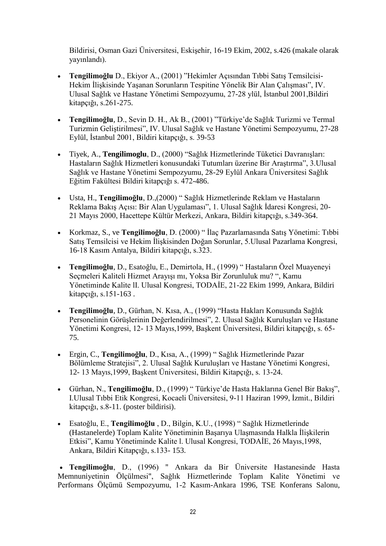Bildirisi, Osman Gazi Üniversitesi, Eskişehir, 16-19 Ekim, 2002, s.426 (makale olarak yayınlandı).

- **Tengilimoğlu** D., Ekiyor A., (2001) "Hekimler Açısından Tıbbi Satış Temsilcisi-Hekim İlişkisinde Yaşanan Sorunların Tespitine Yönelik Bir Alan Çalışması", IV. Ulusal Sağlık ve Hastane Yönetimi Sempozyumu, 27-28 ylül, İstanbul 2001,Bildiri kitapçığı, s.261-275.
- **Tengilimoğlu**, D., Sevin D. H., Ak B., (2001) "Türkiye'de Sağlık Turizmi ve Termal Turizmin Geliştirilmesi", IV. Ulusal Sağlık ve Hastane Yönetimi Sempozyumu, 27-28 Eylül, İstanbul 2001, Bildiri kitapçığı, s. 39-53
- Tiyek, A., **Tengilimoglu**, D., (2000) "Sağlık Hizmetlerinde Tüketici Davranışları: Hastaların Sağlık Hizmetleri konusundaki Tutumları üzerine Bir Araştırma", 3.Ulusal Sağlık ve Hastane Yönetimi Sempozyumu, 28-29 Eylül Ankara Üniversitesi Sağlık Eğitim Fakültesi Bildiri kitapçığı s. 472-486.
- Usta, H., **Tengilimoğlu**, D.,(2000) " Sağlık Hizmetlerinde Reklam ve Hastaların Reklama Bakış Açısı: Bir Alan Uygulaması", 1. Ulusal Sağlık İdaresi Kongresi, 20- 21 Mayıs 2000, Hacettepe Kültür Merkezi, Ankara, Bildiri kitapçığı, s.349-364.
- Korkmaz, S., ve **Tengilimoğlu**, D. (2000) " İlaç Pazarlamasında Satış Yönetimi: Tıbbi Satış Temsilcisi ve Hekim İlişkisinden Doğan Sorunlar, 5.Ulusal Pazarlama Kongresi, 16-18 Kasım Antalya, Bildiri kitapçığı, s.323.
- **Tengilimoğlu**, D., Esatoğlu, E., Demirtola, H., (1999) " Hastaların Özel Muayeneyi Seçmeleri Kaliteli Hizmet Arayışı mı, Yoksa Bir Zorunluluk mu? ", Kamu Yönetiminde Kalite lI. Ulusal Kongresi, TODAİE, 21-22 Ekim 1999, Ankara, Bildiri kitapçığı, s.151-163 .
- **Tengilimoğlu**, D., Gürhan, N. Kısa, A., (1999) "Hasta Hakları Konusunda Sağlık Personelinin Görüşlerinin Değerlendirilmesi", 2. Ulusal Sağlık Kuruluşları ve Hastane Yönetimi Kongresi, 12- 13 Mayıs,1999, Başkent Üniversitesi, Bildiri kitapçığı, s. 65- 75.
- Ergin, C., **Tengilimoğlu**, D., Kısa, A., (1999) " Sağlık Hizmetlerinde Pazar Bölümleme Stratejisi", 2. Ulusal Sağlık Kuruluşları ve Hastane Yönetimi Kongresi, 12- 13 Mayıs,1999, Başkent Üniversitesi, Bildiri Kitapçığı, s. 13-24.
- Gürhan, N., **Tengilimoğlu**, D., (1999) " Türkiye'de Hasta Haklarına Genel Bir Bakış", I.Ulusal Tıbbi Etik Kongresi, Kocaeli Üniversitesi, 9-11 Haziran 1999, İzmit., Bildiri kitapçığı, s.8-11. (poster bildirisi).
- Esatoğlu, E., **Tengilimoğlu** , D., Bilgin, K.U., (1998) " Sağlık Hizmetlerinde (Hastanelerde) Toplam Kalite Yönetiminin Başarıya Ulaşmasında Halkla İlişkilerin Etkisi", Kamu Yönetiminde Kalite l. Ulusal Kongresi, TODAİE, 26 Mayıs,1998, Ankara, Bildiri Kitapçığı, s.133- 153.

 **Tengilimoğlu**, D., (1996) " Ankara da Bir Üniversite Hastanesinde Hasta Memnuniyetinin Ölçülmesi", Sağlık Hizmetlerinde Toplam Kalite Yönetimi ve Performans Ölçümü Sempozyumu, 1-2 Kasım-Ankara 1996, TSE Konferans Salonu,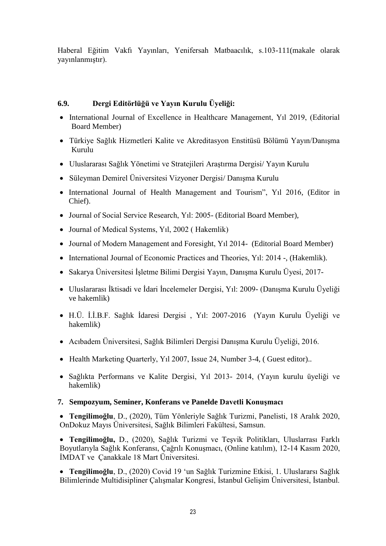Haberal Eğitim Vakfı Yayınları, Yenifersah Matbaacılık, s.103-111(makale olarak yayınlanmıştır).

## **6.9. Dergi Editörlüğü ve Yayın Kurulu Üyeliği:**

- International Journal of Excellence in Healthcare Management, Yıl 2019, (Editorial Board Member)
- Türkiye Sağlık Hizmetleri Kalite ve Akreditasyon Enstitüsü Bölümü Yayın/Danışma Kurulu
- Uluslararası Sağlık Yönetimi ve Stratejileri Araştırma Dergisi/ Yayın Kurulu
- Süleyman Demirel Üniversitesi Vizyoner Dergisi/ Danışma Kurulu
- International Journal of Health Management and Tourism", Yıl 2016, (Editor in Chief).
- Journal of Social Service Research, Yıl: 2005- (Editorial Board Member),
- Journal of Medical Systems, Yıl, 2002 (Hakemlik)
- Journal of Modern Management and Foresight, Yıl 2014- (Editorial Board Member)
- International Journal of Economic Practices and Theories, Yıl: 2014 -, (Hakemlik).
- Sakarya Üniversitesi İşletme Bilimi Dergisi Yayın, Danışma Kurulu Üyesi, 2017-
- Uluslararası İktisadi ve İdari İncelemeler Dergisi, Yıl: 2009- (Danışma Kurulu Üyeliği ve hakemlik)
- H.Ü. İ.İ.B.F. Sağlık İdaresi Dergisi , Yıl: 2007-2016 (Yayın Kurulu Üyeliği ve hakemlik)
- Acıbadem Üniversitesi, Sağlık Bilimleri Dergisi Danışma Kurulu Üyeliği, 2016.
- Health Marketing Quarterly, Y<sub>1</sub>l 2007, Issue 24, Number 3-4, (Guest editor)..
- Sağlıkta Performans ve Kalite Dergisi, Yıl 2013- 2014, (Yayın kurulu üyeliği ve hakemlik)

### **7. Sempozyum, Seminer, Konferans ve Panelde Davetli Konuşmacı**

 **Tengilimoğlu**, D., (2020), Tüm Yönleriyle Sağlık Turizmi, Panelisti, 18 Aralık 2020, OnDokuz Mayıs Üniversitesi, Sağlık Bilimleri Fakültesi, Samsun.

 **Tengilimoğlu,** D., (2020), Sağlık Turizmi ve Teşvik Politikları, Uluslarrası Farklı Boyutlarıyla Sağlık Konferansı, Çağrılı Konuşmacı, (Online katılım), 12-14 Kasım 2020, İMDAT ve Çanakkale 18 Mart Üniversitesi.

 **Tengilimoğlu**, D., (2020) Covid 19 'un Sağlık Turizmine Etkisi, 1. Uluslararsı Sağlık Bilimlerinde Multidisipliner Çalışmalar Kongresi, İstanbul Gelişim Üniversitesi, İstanbul.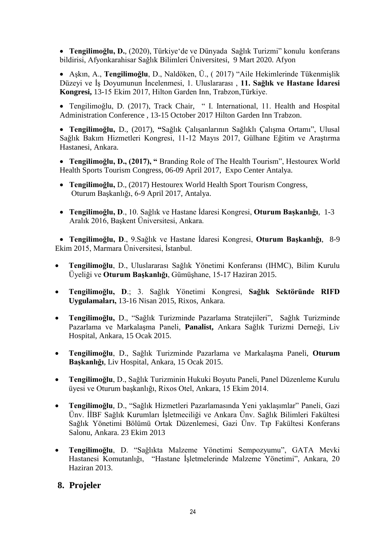**• Tengilimoğlu, D.**, (2020), Türkiye'de ve Dünyada Sağlık Turizmi" konulu konferans bildirisi, Afyonkarahisar Sağlık Bilimleri Üniversitesi, 9 Mart 2020. Afyon

 Aşkın, A., **Tengilimoğlu**, D., Naldöken, Ü., ( 2017) "Aile Hekimlerinde Tükenmişlik Düzeyi ve İş Doyumunun İncelenmesi, 1. Uluslararası , **11. Sağlık ve Hastane İdaresi Kongresi,** 13-15 Ekim 2017, Hilton Garden Inn, Trabzon,Türkiye.

 Tengilimoğlu, D. (2017), Track Chair, " I. International, 11. Health and Hospital Administration Conference , 13-15 October 2017 Hilton Garden Inn Trabzon.

 **Tengilimoğlu,** D., (2017), **"**Sağlık Çalışanlarının Sağlıklı Çalışma Ortamı", Ulusal Sağlık Bakım Hizmetleri Kongresi, 11-12 Mayıs 2017, Gülhane Eğitim ve Araştırma Hastanesi, Ankara.

 **Tengilimoğlu, D., (2017), "** Branding Role of The Health Tourism", Hestourex World Health Sports Tourism Congress, 06-09 April 2017, Expo Center Antalya.

- **Tengilimoğlu,** D., (2017) Hestourex World Health Sport Tourism Congress, Oturum Başkanlığı, 6-9 April 2017, Antalya.
- **Tengilimoğlu, D**., 10. Sağlık ve Hastane İdaresi Kongresi, **Oturum Başkanlığı**, 1-3 Aralık 2016, Başkent Üniversitesi, Ankara.

 **Tengilimoğlu, D**., 9.Sağlık ve Hastane İdaresi Kongresi, **Oturum Başkanlığı**, 8-9 Ekim 2015, Marmara Üniversitesi, İstanbul.

- **Tengilimoğlu**, D., Uluslararası Sağlık Yönetimi Konferansı (IHMC), Bilim Kurulu Üyeliği ve **Oturum Başkanlığı**, Gümüşhane, 15-17 Haziran 2015.
- **Tengilimoğlu, D**.; 3. Sağlık Yönetimi Kongresi, **Sağlık Sektöründe RIFD Uygulamaları,** 13-16 Nisan 2015, Rixos, Ankara.
- **Tengilimoğlu,** D., "Sağlık Turizminde Pazarlama Stratejileri", Sağlık Turizminde Pazarlama ve Markalaşma Paneli, **Panalist,** Ankara Sağlık Turizmi Derneği, Liv Hospital, Ankara, 15 Ocak 2015.
- **Tengilimoğlu**, D., Sağlık Turizminde Pazarlama ve Markalaşma Paneli, **Oturum Başkanlığı**, Liv Hospital, Ankara, 15 Ocak 2015.
- **Tengilimoğlu**, D., Sağlık Turizminin Hukuki Boyutu Paneli, Panel Düzenleme Kurulu üyesi ve Oturum başkanlığı, Rixos Otel, Ankara, 15 Ekim 2014.
- **Tengilimoğlu**, D., "Sağlık Hizmetleri Pazarlamasında Yeni yaklaşımlar" Paneli, Gazi Ünv. İİBF Sağlık Kurumları İşletmeciliği ve Ankara Ünv. Sağlık Bilimleri Fakültesi Sağlık Yönetimi Bölümü Ortak Düzenlemesi, Gazi Ünv. Tıp Fakültesi Konferans Salonu, Ankara. 23 Ekim 2013
- **Tengilimoğlu**, D. "Sağlıkta Malzeme Yönetimi Sempozyumu", GATA Mevki Hastanesi Komutanlığı, "Hastane İşletmelerinde Malzeme Yönetimi", Ankara, 20 Haziran 2013.

# **8. Projeler**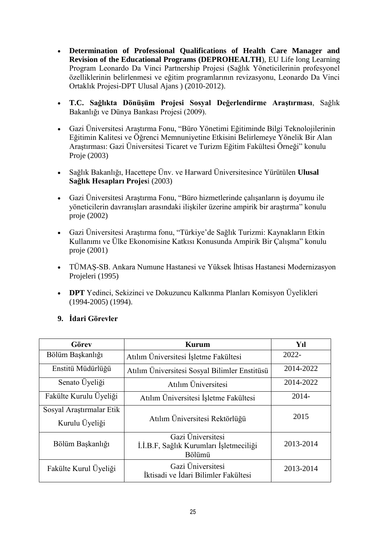- **Determination of Professional Qualifications of Health Care Manager and Revision of the Educational Programs (DEPROHEALTH**), EU Life long Learning Program Leonardo Da Vinci Partnership Projesi (Sağlık Yöneticilerinin profesyonel özelliklerinin belirlenmesi ve eğitim programlarının revizasyonu, Leonardo Da Vinci Ortaklık Projesi-DPT Ulusal Ajans ) (2010-2012).
- **T.C. Sağlıkta Dönüşüm Projesi Sosyal Değerlendirme Araştırması**, Sağlık Bakanlığı ve Dünya Bankası Projesi (2009).
- Gazi Üniversitesi Araştırma Fonu, "Büro Yönetimi Eğitiminde Bilgi Teknolojilerinin Eğitimin Kalitesi ve Öğrenci Memnuniyetine Etkisini Belirlemeye Yönelik Bir Alan Araştırması: Gazi Üniversitesi Ticaret ve Turizm Eğitim Fakültesi Örneği" konulu Proje (2003)
- Sağlık Bakanlığı, Hacettepe Ünv. ve Harward Üniversitesince Yürütülen **Ulusal Sağlık Hesapları Projes**i (2003)
- Gazi Üniversitesi Araştırma Fonu, "Büro hizmetlerinde çalışanların iş doyumu ile yöneticilerin davranışları arasındaki ilişkiler üzerine ampirik bir araştırma" konulu proje (2002)
- Gazi Üniversitesi Araştırma fonu, "Türkiye'de Sağlık Turizmi: Kaynakların Etkin Kullanımı ve Ülke Ekonomisine Katkısı Konusunda Ampirik Bir Çalışma" konulu proje (2001)
- TÜMAŞ-SB. Ankara Numune Hastanesi ve Yüksek İhtisas Hastanesi Modernizasyon Projeleri (1995)
- **DPT** Yedinci, Sekizinci ve Dokuzuncu Kalkınma Planları Komisyon Üyelikleri (1994-2005) (1994).

### **9. İdari Görevler**

| Görev                    | Kurum                                                                  | Yıl       |
|--------------------------|------------------------------------------------------------------------|-----------|
| Bölüm Başkanlığı         | Atılım Üniversitesi İşletme Fakültesi                                  | $2022 -$  |
| Enstitü Müdürlüğü        | Atılım Üniversitesi Sosyal Bilimler Enstitüsü                          | 2014-2022 |
| Senato Üyeliği           | Atılım Üniversitesi                                                    | 2014-2022 |
| Fakülte Kurulu Üyeliği   | Atılım Üniversitesi İşletme Fakültesi                                  | $2014 -$  |
| Sosyal Araştırmalar Etik |                                                                        | 2015      |
| Kurulu Üyeliği           | Atılım Üniversitesi Rektörlüğü                                         |           |
| Bölüm Başkanlığı         | Gazi Üniversitesi<br>İ.İ.B.F, Sağlık Kurumları İşletmeciliği<br>Bölümü | 2013-2014 |
| Fakülte Kurul Üyeliği    | Gazi Üniversitesi<br>İktisadi ve İdari Bilimler Fakültesi              | 2013-2014 |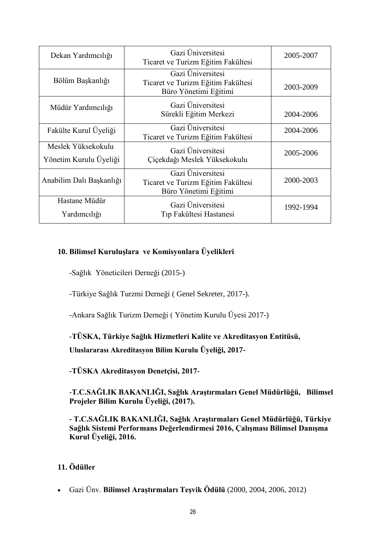| Dekan Yardımcılığı                           | Gazi Üniversitesi<br>Ticaret ve Turizm Eğitim Fakültesi                          | 2005-2007 |
|----------------------------------------------|----------------------------------------------------------------------------------|-----------|
| Bölüm Başkanlığı                             | Gazi Üniversitesi<br>Ticaret ve Turizm Eğitim Fakültesi<br>Büro Yönetimi Eğitimi | 2003-2009 |
| Müdür Yardımcılığı                           | Gazi Üniversitesi<br>Sürekli Eğitim Merkezi                                      | 2004-2006 |
| Fakülte Kurul Üyeliği                        | Gazi Üniversitesi<br>Ticaret ve Turizm Eğitim Fakültesi                          | 2004-2006 |
| Meslek Yüksekokulu<br>Yönetim Kurulu Üyeliği | Gazi Üniversitesi<br>Çiçekdağı Meslek Yüksekokulu                                | 2005-2006 |
| Anabilim Dalı Başkanlığı                     | Gazi Üniversitesi<br>Ticaret ve Turizm Eğitim Fakültesi<br>Büro Yönetimi Eğitimi | 2000-2003 |
| Hastane Müdür<br>Yardımcılığı                | Gazi Üniversitesi<br>Tıp Fakültesi Hastanesi                                     | 1992-1994 |

# **10. Bilimsel Kuruluşlara ve Komisyonlara Üyelikleri**

-Sağlık Yöneticileri Derneği (2015-)

-Türkiye Sağlık Turzmi Derneği ( Genel Sekreter, 2017-).

-Ankara Sağlık Turizm Derneği ( Yönetim Kurulu Üyesi 2017-)

-**TÜSKA, Türkiye Sağlık Hizmetleri Kalite ve Akreditasyon Entitüsü,**

**Uluslararası Akreditasyon Bilim Kurulu Üyeliği, 2017-**

**-TÜSKA Akreditasyon Denetçisi, 2017-**

-**T.C.SAĞLIK BAKANLIĞI, Sağlık Araştırmaları Genel Müdürlüğü, Bilimsel Projeler Bilim Kurulu Üyeliği, (2017).**

**- T.C.SAĞLIK BAKANLIĞI, Sağlık Araştırmaları Genel Müdürlüğü, Türkiye Sağlık Sistemi Performans Değerlendirmesi 2016, Çalışması Bilimsel Danışma Kurul Üyeliği, 2016.**

# **11. Ödüller**

Gazi Ünv. **Bilimsel Araştırmaları Teşvik Ödülü** (2000, 2004, 2006, 2012)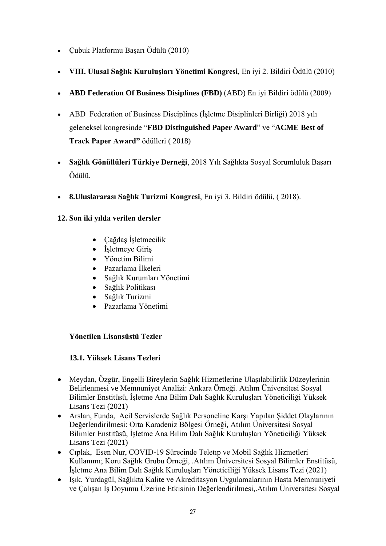- Çubuk Platformu Başarı Ödülü (2010)
- **VIII. Ulusal Sağlık Kuruluşları Yönetimi Kongresi**, En iyi 2. Bildiri Ödülü (2010)
- **ABD Federation Of Business Disiplines (FBD)** (ABD) En iyi Bildiri ödülü (2009)
- ABD Federation of Business Disciplines (İşletme Disiplinleri Birliği) 2018 yılı geleneksel kongresinde "**FBD Distinguished Paper Award**" ve "**ACME Best of Track Paper Award"** ödülleri ( 2018)
- **Sağlık Gönüllüleri Türkiye Derneği**, 2018 Yılı Sağlıkta Sosyal Sorumluluk Başarı Ödülü.
- **8.Uluslararası Sağlık Turizmi Kongresi**, En iyi 3. Bildiri ödülü, ( 2018).

# **12. Son iki yılda verilen dersler**

- Cağdas İsletmecilik
- İşletmeye Giriş
- Yönetim Bilimi
- Pazarlama İlkeleri
- Sağlık Kurumları Yönetimi
- Sağlık Politikası
- Sağlık Turizmi
- Pazarlama Yönetimi

# **Yönetilen Lisansüstü Tezler**

# **13.1. Yüksek Lisans Tezleri**

- Meydan, Özgür, Engelli Bireylerin Sağlık Hizmetlerine Ulaşılabilirlik Düzeylerinin Belirlenmesi ve Memnuniyet Analizi: Ankara Örneği. Atılım Üniversitesi Sosyal Bilimler Enstitüsü, İşletme Ana Bilim Dalı Sağlık Kuruluşları Yöneticiliği Yüksek Lisans Tezi (2021)
- Arslan, Funda, Acil Servislerde Sağlık Personeline Karşı Yapılan Şiddet Olaylarının Değerlendirilmesi: Orta Karadeniz Bölgesi Örneği, Atılım Üniversitesi Sosyal Bilimler Enstitüsü, İşletme Ana Bilim Dalı Sağlık Kuruluşları Yöneticiliği Yüksek Lisans Tezi (2021)
- Cıplak, Esen Nur, COVID-19 Sürecinde Teletıp ve Mobil Sağlık Hizmetleri Kullanımı; Koru Sağlık Grubu Örneği, .Atılım Üniversitesi Sosyal Bilimler Enstitüsü, İşletme Ana Bilim Dalı Sağlık Kuruluşları Yöneticiliği Yüksek Lisans Tezi (2021)
- Işık, Yurdagül, Sağlıkta Kalite ve Akreditasyon Uygulamalarının Hasta Memnuniyeti ve Çalışan İş Doyumu Üzerine Etkisinin Değerlendirilmesi,.Atılım Üniversitesi Sosyal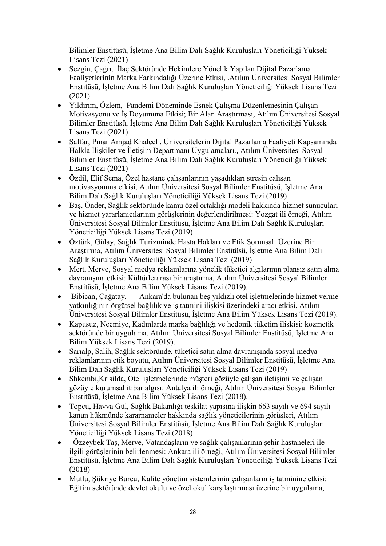Bilimler Enstitüsü, İşletme Ana Bilim Dalı Sağlık Kuruluşları Yöneticiliği Yüksek Lisans Tezi (2021)

- Sezgin, Çağrı, İlaç Sektöründe Hekimlere Yönelik Yapılan Dijital Pazarlama Faaliyetlerinin Marka Farkındalığı Üzerine Etkisi, .Atılım Üniversitesi Sosyal Bilimler Enstitüsü, İşletme Ana Bilim Dalı Sağlık Kuruluşları Yöneticiliği Yüksek Lisans Tezi (2021)
- Yıldırım, Özlem, Pandemi Döneminde Esnek Çalışma Düzenlemesinin Çalışan Motivasyonu ve İş Doyumuna Etkisi; Bir Alan Araştırması,.Atılım Üniversitesi Sosyal Bilimler Enstitüsü, İşletme Ana Bilim Dalı Sağlık Kuruluşları Yöneticiliği Yüksek Lisans Tezi (2021)
- Saffar, Pınar Amjad Khaleel , Üniversitelerin Dijital Pazarlama Faaliyeti Kapsamında Halkla İlişkiler ve İletişim Departmanı Uygulamaları., Atılım Üniversitesi Sosyal Bilimler Enstitüsü, İşletme Ana Bilim Dalı Sağlık Kuruluşları Yöneticiliği Yüksek Lisans Tezi (2021)
- Özdil, Elif Sema, Özel hastane çalışanlarının yaşadıkları stresin çalışan motivasyonuna etkisi, Atılım Üniversitesi Sosyal Bilimler Enstitüsü, İşletme Ana Bilim Dalı Sağlık Kuruluşları Yöneticiliği Yüksek Lisans Tezi (2019)
- Baş, Önder, Sağlık sektöründe kamu özel ortaklığı modeli hakkında hizmet sunucuları ve hizmet yararlanıcılarının görüşlerinin değerlendirilmesi: Yozgat ili örneği, Atılım Üniversitesi Sosyal Bilimler Enstitüsü, İşletme Ana Bilim Dalı Sağlık Kuruluşları Yöneticiliği Yüksek Lisans Tezi (2019)
- Öztürk, Gülay, Sağlık Turizminde Hasta Hakları ve Etik Sorunsalı Üzerine Bir Araştırma, Atılım Üniversitesi Sosyal Bilimler Enstitüsü, İşletme Ana Bilim Dalı Sağlık Kuruluşları Yöneticiliği Yüksek Lisans Tezi (2019)
- Mert, Merve, Sosyal medya reklamlarına yönelik tüketici algılarının plansız satın alma davranışına etkisi: Kültürlerarası bir araştırma, Atılım Üniversitesi Sosyal Bilimler Enstitüsü, İşletme Ana Bilim Yüksek Lisans Tezi (2019).
- Bibican, Çağatay, Ankara'da bulunan beş yıldızlı otel işletmelerinde hizmet verme yatkınlığının örgütsel bağlılık ve iş tatmini ilişkisi üzerindeki aracı etkisi, Atılım Üniversitesi Sosyal Bilimler Enstitüsü, İşletme Ana Bilim Yüksek Lisans Tezi (2019).
- Kapusuz, Necmiye, Kadınlarda marka bağlılığı ve hedonik tüketim ilişkisi: kozmetik sektöründe bir uygulama, Atılım Üniversitesi Sosyal Bilimler Enstitüsü, İşletme Ana Bilim Yüksek Lisans Tezi (2019).
- Sarıalp, Salih, Sağlık sektöründe, tüketici satın alma davranışında sosyal medya reklamlarının etik boyutu, Atılım Üniversitesi Sosyal Bilimler Enstitüsü, İşletme Ana Bilim Dalı Sağlık Kuruluşları Yöneticiliği Yüksek Lisans Tezi (2019)
- Shkembi,Krisilda, Otel işletmelerinde müşteri gözüyle çalışan iletişimi ve çalışan gözüyle kurumsal itibar algısı: Antalya ili örneği, Atılım Üniversitesi Sosyal Bilimler Enstitüsü, İşletme Ana Bilim Yüksek Lisans Tezi (2018).
- Topcu, Havva Gül, Sağlık Bakanlığı teşkilat yapısına ilişkin 663 sayılı ve 694 sayılı kanun hükmünde kararnameler hakkında sağlık yöneticilerinin görüşleri, Atılım Üniversitesi Sosyal Bilimler Enstitüsü, İşletme Ana Bilim Dalı Sağlık Kuruluşları Yöneticiliği Yüksek Lisans Tezi (2018)
- Özzeybek Taş, Merve, Vatandaşların ve sağlık çalışanlarının şehir hastaneleri ile ilgili görüşlerinin belirlenmesi: Ankara ili örneği, Atılım Üniversitesi Sosyal Bilimler Enstitüsü, İşletme Ana Bilim Dalı Sağlık Kuruluşları Yöneticiliği Yüksek Lisans Tezi (2018)
- Mutlu, Şükriye Burcu, Kalite yönetim sistemlerinin çalışanların iş tatminine etkisi: Eğitim sektöründe devlet okulu ve özel okul karşılaştırması üzerine bir uygulama,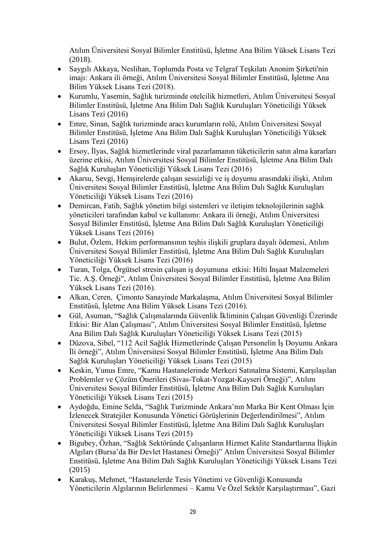Atılım Üniversitesi Sosyal Bilimler Enstitüsü, İşletme Ana Bilim Yüksek Lisans Tezi (2018).

- Saygılı Akkaya, Neslihan, Toplumda Posta ve Telgraf Teşkilatı Anonim Şirketi'nin imajı: Ankara ili örneği, Atılım Üniversitesi Sosyal Bilimler Enstitüsü, İşletme Ana Bilim Yüksek Lisans Tezi (2018).
- Kurumlu, Yasemin, Sağlık turizminde otelcilik hizmetleri, Atılım Üniversitesi Sosyal Bilimler Enstitüsü, İşletme Ana Bilim Dalı Sağlık Kuruluşları Yöneticiliği Yüksek Lisans Tezi (2016)
- Emre, Sinan, Sağlık turizminde aracı kurumların rolü, Atılım Üniversitesi Sosyal Bilimler Enstitüsü, İşletme Ana Bilim Dalı Sağlık Kuruluşları Yöneticiliği Yüksek Lisans Tezi (2016)
- Ersoy, İlyas, Sağlık hizmetlerinde viral pazarlamanın tüketicilerin satın alma kararları üzerine etkisi, Atılım Üniversitesi Sosyal Bilimler Enstitüsü, İşletme Ana Bilim Dalı Sağlık Kuruluşları Yöneticiliği Yüksek Lisans Tezi (2016)
- Akarsu, Sevgi, Hemşirelerde çalışan sessizliği ve iş doyumu arasındaki ilişki, Atılım Üniversitesi Sosyal Bilimler Enstitüsü, İşletme Ana Bilim Dalı Sağlık Kuruluşları Yöneticiliği Yüksek Lisans Tezi (2016)
- Demircan, Fatih, Sağlık yönetim bilgi sistemleri ve iletişim teknolojilerinin sağlık yöneticileri tarafından kabul ve kullanımı: Ankara ili örneği, Atılım Üniversitesi Sosyal Bilimler Enstitüsü, İşletme Ana Bilim Dalı Sağlık Kuruluşları Yöneticiliği Yüksek Lisans Tezi (2016)
- Bulut, Özlem, Hekim performansının teşhis ilişkili gruplara dayalı ödemesi, Atılım Üniversitesi Sosyal Bilimler Enstitüsü, İşletme Ana Bilim Dalı Sağlık Kuruluşları Yöneticiliği Yüksek Lisans Tezi (2016)
- Turan, Tolga, Örgütsel stresin çalışan iş doyumuna etkisi: Hilti İnşaat Malzemeleri Tic. A.Ş. Örneği", Atılım Üniversitesi Sosyal Bilimler Enstitüsü, İşletme Ana Bilim Yüksek Lisans Tezi (2016).
- Alkan, Ceren, Çimonto Sanayinde Markalaşma, Atılım Üniversitesi Sosyal Bilimler Enstitüsü, İşletme Ana Bilim Yüksek Lisans Tezi (2016).
- Gül, Asuman, "Sağlık Çalışmalarında Güvenlik İkliminin Çalışan Güvenliği Üzerinde Etkisi: Bir Alan Çalışması", Atılım Üniversitesi Sosyal Bilimler Enstitüsü, İşletme Ana Bilim Dalı Sağlık Kuruluşları Yöneticiliği Yüksek Lisans Tezi (2015)
- Düzova, Sibel, "112 Acil Sağlık Hizmetlerinde Çalışan Personelin İş Doyumu Ankara İli örneği", Atılım Üniversitesi Sosyal Bilimler Enstitüsü, İşletme Ana Bilim Dalı Sağlık Kuruluşları Yöneticiliği Yüksek Lisans Tezi (2015)
- Keskin, Yunus Emre, "Kamu Hastanelerinde Merkezi Satınalma Sistemi, Karşılaşılan Problemler ve Çözüm Önerileri (Sivas-Tokat-Yozgat-Kayseri Örneği)", Atılım Üniversitesi Sosyal Bilimler Enstitüsü, İşletme Ana Bilim Dalı Sağlık Kuruluşları Yöneticiliği Yüksek Lisans Tezi (2015)
- Aydoğdu, Emine Selda, "Sağlık Turizminde Ankara'nın Marka Bir Kent Olması İçin İzlenecek Stratejiler Konusunda Yönetici Görüşlerinin Değerlendirilmesi", Atılım Üniversitesi Sosyal Bilimler Enstitüsü, İşletme Ana Bilim Dalı Sağlık Kuruluşları Yöneticiliği Yüksek Lisans Tezi (2015)
- Bigubey, Özhan, "Sağlık Sektöründe Çalışanların Hizmet Kalite Standartlarına İlişkin Algıları (Bursa'da Bir Devlet Hastanesi Örneği)" Atılım Üniversitesi Sosyal Bilimler Enstitüsü, İşletme Ana Bilim Dalı Sağlık Kuruluşları Yöneticiliği Yüksek Lisans Tezi (2015)
- Karakuş, Mehmet, "Hastanelerde Tesis Yönetimi ve Güvenliği Konusunda Yöneticilerin Algılarının Belirlenmesi – Kamu Ve Özel Sektör Karşılaştırması", Gazi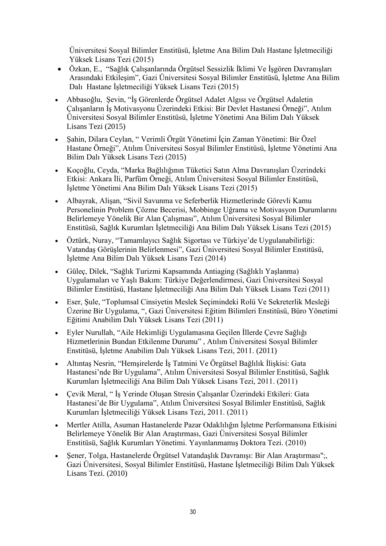Üniversitesi Sosyal Bilimler Enstitüsü, İşletme Ana Bilim Dalı Hastane İşletmeciliği Yüksek Lisans Tezi (2015)

- Özkan, E., "Sağlık Çalışanlarında Örgütsel Sessizlik İklimi Ve İşgören Davranışları Arasındaki Etkileşim", Gazi Üniversitesi Sosyal Bilimler Enstitüsü, İşletme Ana Bilim Dalı Hastane İşletmeciliği Yüksek Lisans Tezi (2015)
- Abbasoğlu, Şevin, "İş Görenlerde Örgütsel Adalet Algısı ve Örgütsel Adaletin Çalışanların İş Motivasyonu Üzerindeki Etkisi: Bir Devlet Hastanesi Örneği", Atılım Üniversitesi Sosyal Bilimler Enstitüsü, İşletme Yönetimi Ana Bilim Dalı Yüksek Lisans Tezi (2015)
- Şahin, Dilara Ceylan, " Verimli Örgüt Yönetimi İçin Zaman Yönetimi: Bir Özel Hastane Örneği", Atılım Üniversitesi Sosyal Bilimler Enstitüsü, İşletme Yönetimi Ana Bilim Dalı Yüksek Lisans Tezi (2015)
- Koçoğlu, Ceyda, "Marka Bağlılığının Tüketici Satın Alma Davranışları Üzerindeki Etkisi: Ankara İli, Parfüm Örneği, Atılım Üniversitesi Sosyal Bilimler Enstitüsü, İşletme Yönetimi Ana Bilim Dalı Yüksek Lisans Tezi (2015)
- Albayrak, Alişan, "Sivil Savunma ve Seferberlik Hizmetlerinde Görevli Kamu Personelinin Problem Çözme Becerisi, Mobbinge Uğrama ve Motivasyon Durumlarını Belirlemeye Yönelik Bir Alan Çalışması", Atılım Üniversitesi Sosyal Bilimler Enstitüsü, Sağlık Kurumları İşletmeciliği Ana Bilim Dalı Yüksek Lisans Tezi (2015)
- Öztürk, Nuray, "Tamamlayıcı Sağlık Sigortası ve Türkiye'de Uygulanabilirliği: Vatandaş Görüşlerinin Belirlenmesi", Gazi Üniversitesi Sosyal Bilimler Enstitüsü, İşletme Ana Bilim Dalı Yüksek Lisans Tezi (2014)
- Güleç, Dilek, "Sağlık Turizmi Kapsamında Antiaging (Sağlıklı Yaşlanma) Uygulamaları ve Yaşlı Bakım: Türkiye Değerlendirmesi, Gazi Üniversitesi Sosyal Bilimler Enstitüsü, Hastane İşletmeciliği Ana Bilim Dalı Yüksek Lisans Tezi (2011)
- Eser, Şule, "Toplumsal Cinsiyetin Meslek Seçimindeki Rolü Ve Sekreterlik Mesleği Üzerine Bir Uygulama, ", Gazi Üniversitesi Eğitim Bilimleri Enstitüsü, Büro Yönetimi Eğitimi Anabilim Dalı Yüksek Lisans Tezi (2011)
- Eyler Nurullah, "Aile Hekimliği Uygulamasına Geçilen İllerde Çevre Sağlığı Hizmetlerinin Bundan Etkilenme Durumu" , Atılım Üniversitesi Sosyal Bilimler Enstitüsü, İşletme Anabilim Dalı Yüksek Lisans Tezi, 2011. (2011)
- Altıntaş Nesrin, "Hemşirelerde İş Tatmini Ve Örgütsel Bağlılık İlişkisi: Gata Hastanesi'nde Bir Uygulama", Atılım Üniversitesi Sosyal Bilimler Enstitüsü, Sağlık Kurumları İşletmeciliği Ana Bilim Dalı Yüksek Lisans Tezi, 2011. (2011)
- Çevik Meral, " İş Yerinde Oluşan Stresin Çalışanlar Üzerindeki Etkileri: Gata Hastanesi'de Bir Uygulama", Atılım Üniversitesi Sosyal Bilimler Enstitüsü, Sağlık Kurumları İşletmeciliği Yüksek Lisans Tezi, 2011. (2011)
- Mertler Atilla, Asuman Hastanelerde Pazar Odaklılığın İşletme Performansına Etkisini Belirlemeye Yönelik Bir Alan Araştırması, Gazi Üniversitesi Sosyal Bilimler Enstitüsü, Sağlık Kurumları Yönetimi. Yayınlanmamış Doktora Tezi. (2010)
- Şener, Tolga, Hastanelerde Örgütsel Vatandaşlık Davranışı: Bir Alan Araştırması";, Gazi Üniversitesi, Sosyal Bilimler Enstitüsü, Hastane İşletmeciliği Bilim Dalı Yüksek Lisans Tezi. (2010)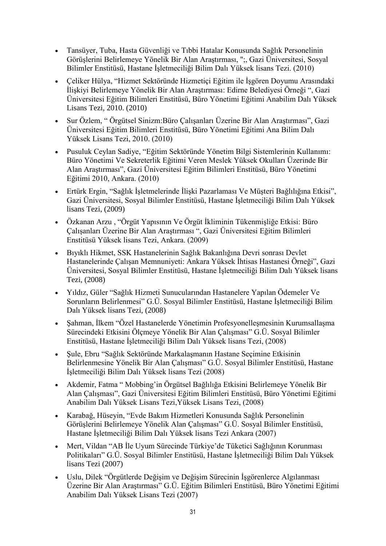- Tansüyer, Tuba, Hasta Güvenliği ve Tıbbi Hatalar Konusunda Sağlık Personelinin Görüşlerini Belirlemeye Yönelik Bir Alan Araştırması, ";, Gazi Üniversitesi, Sosyal Bilimler Enstitüsü, Hastane İşletmeciliği Bilim Dalı Yüksek lisans Tezi. (2010)
- Çeliker Hülya, "Hizmet Sektöründe Hizmetiçi Eğitim ile İşgören Doyumu Arasındaki İlişkiyi Belirlemeye Yönelik Bir Alan Araştırması: Edirne Belediyesi Örneği ", Gazi Üniversitesi Eğitim Bilimleri Enstitüsü, Büro Yönetimi Eğitimi Anabilim Dalı Yüksek Lisans Tezi, 2010. (2010)
- Sur Özlem, " Örgütsel Sinizm:Büro Çalışanları Üzerine Bir Alan Araştırması", Gazi Üniversitesi Eğitim Bilimleri Enstitüsü, Büro Yönetimi Eğitimi Ana Bilim Dalı Yüksek Lisans Tezi, 2010. (2010)
- Pusuluk Ceylan Sadiye, "Eğitim Sektöründe Yönetim Bilgi Sistemlerinin Kullanımı: Büro Yönetimi Ve Sekreterlik Eğitimi Veren Meslek Yüksek Okulları Üzerinde Bir Alan Araştırması", Gazi Üniversitesi Eğitim Bilimleri Enstitüsü, Büro Yönetimi Eğitimi 2010, Ankara. (2010)
- Ertürk Ergin, "Sağlık İşletmelerinde İlişki Pazarlaması Ve Müşteri Bağlılığına Etkisi", Gazi Üniversitesi, Sosyal Bilimler Enstitüsü, Hastane İşletmeciliği Bilim Dalı Yüksek lisans Tezi, (2009)
- Özkanan Arzu , "Örgüt Yapısının Ve Örgüt İkliminin Tükenmişliğe Etkisi: Büro Çalışanları Üzerine Bir Alan Araştırması ", Gazi Üniversitesi Eğitim Bilimleri Enstitüsü Yüksek lisans Tezi, Ankara. (2009)
- Bıyıklı Hikmet, SSK Hastanelerinin Sağlık Bakanlığına Devri sonrası Devlet Hastanelerinde Çalışan Memnuniyeti: Ankara Yüksek İhtisas Hastanesi Örneği", Gazi Üniversitesi, Sosyal Bilimler Enstitüsü, Hastane İşletmeciliği Bilim Dalı Yüksek lisans Tezi, (2008)
- Yıldız, Güler "Sağlık Hizmeti Sunucularından Hastanelere Yapılan Ödemeler Ve Sorunların Belirlenmesi" G.Ü. Sosyal Bilimler Enstitüsü, Hastane İşletmeciliği Bilim Dalı Yüksek lisans Tezi, (2008)
- Sahman, İlkem "Özel Hastanelerde Yönetimin Profesyonellesmesinin Kurumsallaşma Sürecindeki Etkisini Ölçmeye Yönelik Bir Alan Çalışması" G.Ü. Sosyal Bilimler Enstitüsü, Hastane İşletmeciliği Bilim Dalı Yüksek lisans Tezi, (2008)
- Şule, Ebru "Sağlık Sektöründe Markalaşmanın Hastane Seçimine Etkisinin Belirlenmesine Yönelik Bir Alan Çalışması" G.Ü. Sosyal Bilimler Enstitüsü, Hastane İşletmeciliği Bilim Dalı Yüksek lisans Tezi (2008)
- Akdemir, Fatma " Mobbing'in Örgütsel Bağlılığa Etkisini Belirlemeye Yönelik Bir Alan Çalışması", Gazi Üniversitesi Eğitim Bilimleri Enstitüsü, Büro Yönetimi Eğitimi Anabilim Dalı Yüksek Lisans Tezi,Yüksek Lisans Tezi, (2008)
- Karabağ, Hüseyin, "Evde Bakım Hizmetleri Konusunda Sağlık Personelinin Görüşlerini Belirlemeye Yönelik Alan Çalışması" G.Ü. Sosyal Bilimler Enstitüsü, Hastane İşletmeciliği Bilim Dalı Yüksek lisans Tezi Ankara (2007)
- Mert, Vildan "AB İle Uyum Sürecinde Türkiye'de Tüketici Sağlığının Korunması Politikaları" G.Ü. Sosyal Bilimler Enstitüsü, Hastane İşletmeciliği Bilim Dalı Yüksek lisans Tezi (2007)
- Uslu, Dilek "Örgütlerde Değişim ve Değişim Sürecinin İşgörenlerce Algılanması Üzerine Bir Alan Araştırması" G.Ü. Eğitim Bilimleri Enstitüsü, Büro Yönetimi Eğitimi Anabilim Dalı Yüksek Lisans Tezi (2007)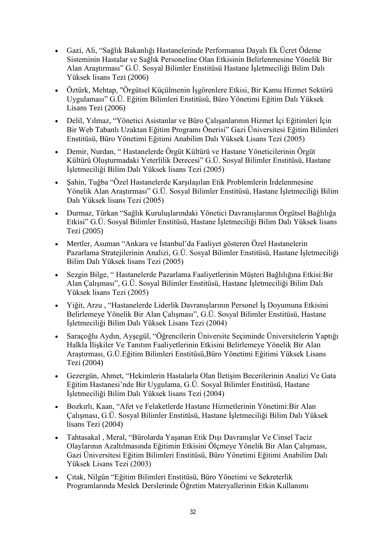- Gazi, Ali, "Sağlık Bakanlığı Hastanelerinde Performansa Dayalı Ek Ücret Ödeme Sisteminin Hastalar ve Sağlık Personeline Olan Etkisinin Belirlenmesine Yönelik Bir Alan Araştırması" G.Ü. Sosyal Bilimler Enstitüsü Hastane İşletmeciliği Bilim Dalı Yüksek lisans Tezi (2006)
- Öztürk, Mehtap, "Örgütsel Küçülmenin İşgörenlere Etkisi, Bir Kamu Hizmet Sektörü Uygulaması" G.Ü. Eğitim Bilimleri Enstitüsü, Büro Yönetimi Eğitim Dalı Yüksek Lisans Tezi (2006)
- Delil, Yılmaz, "Yönetici Asistanlar ve Büro Çalışanlarının Hizmet İçi Eğitimleri İçin Bir Web Tabanlı Uzaktan Eğitim Programı Önerisi" Gazi Üniversitesi Eğitim Bilimleri Enstitüsü, Büro Yönetimi Eğitimi Anabilim Dalı Yüksek Lisans Tezi (2005)
- Demir, Nurdan, " Hastanelerde Örgüt Kültürü ve Hastane Yöneticilerinin Örgüt Kültürü Oluşturmadaki Yeterlilik Derecesi" G.Ü. Sosyal Bilimler Enstitüsü, Hastane İşletmeciliği Bilim Dalı Yüksek lisans Tezi (2005)
- Şahin, Tuğba "Özel Hastanelerde Karşılaşılan Etik Problemlerin İrdelenmesine Yönelik Alan Araştırması" G.Ü. Sosyal Bilimler Enstitüsü, Hastane İşletmeciliği Bilim Dalı Yüksek lisans Tezi (2005)
- Durmaz, Türkan "Sağlık Kuruluşlarındaki Yönetici Davranışlarının Örgütsel Bağlılığa Etkisi" G.Ü. Sosyal Bilimler Enstitüsü, Hastane İşletmeciliği Bilim Dalı Yüksek lisans Tezi (2005)
- Mertler, Asuman "Ankara ve İstanbul'da Faaliyet gösteren Özel Hastanelerin Pazarlama Stratejilerinin Analizi, G.Ü. Sosyal Bilimler Enstitüsü, Hastane İşletmeciliği Bilim Dalı Yüksek lisans Tezi (2005)
- Sezgin Bilge, " Hastanelerde Pazarlama Faaliyetlerinin Müşteri Bağlılığına Etkisi:Bir Alan Çalışması", G.Ü. Sosyal Bilimler Enstitüsü, Hastane İşletmeciliği Bilim Dalı Yüksek lisans Tezi (2005)
- Yiğit, Arzu , "Hastanelerde Liderlik Davranışlarının Personel İş Doyumuna Etkisini Belirlemeye Yönelik Bir Alan Çalışması", G.Ü. Sosyal Bilimler Enstitüsü, Hastane İşletmeciliği Bilim Dalı Yüksek Lisans Tezi (2004)
- Saraçoğlu Aydın, Ayşegül, "Öğrencilerin Üniversite Seçiminde Üniversitelerin Yaptığı Halkla İlişkiler Ve Tanıtım Faaliyetlerinin Etkisini Belirlemeye Yönelik Bir Alan Araştırması, G.Ü.Eğitim Bilimleri Enstitüsü,Büro Yönetimi Eğitimi Yüksek Lisans Tezi (2004)
- Gezergün, Ahmet, "Hekimlerin Hastalarla Olan İletişim Becerilerinin Analizi Ve Gata Eğitim Hastanesi'nde Bir Uygulama, G.Ü. Sosyal Bilimler Enstitüsü, Hastane İşletmeciliği Bilim Dalı Yüksek lisans Tezi (2004)
- Bozkırlı, Kaan, "Afet ve Felaketlerde Hastane Hizmetlerinin Yönetimi:Bir Alan Çalışması, G.Ü. Sosyal Bilimler Enstitüsü, Hastane İşletmeciliği Bilim Dalı Yüksek lisans Tezi (2004)
- Tahtasakal , Meral, "Bürolarda Yaşanan Etik Dışı Davranışlar Ve Cinsel Taciz Olaylarının Azaltılmasında Eğitimin Etkisini Ölçmeye Yönelik Bir Alan Çalışması, Gazi Üniversitesi Eğitim Bilimleri Enstitüsü, Büro Yönetimi Eğitimi Anabilim Dalı Yüksek Lisans Tezi (2003)
- Çıtak, Nilgün "Eğitim Bilimleri Enstitüsü, Büro Yönetimi ve Sekreterlik Programlarında Meslek Derslerinde Öğretim Materyallerinin Etkin Kullanımı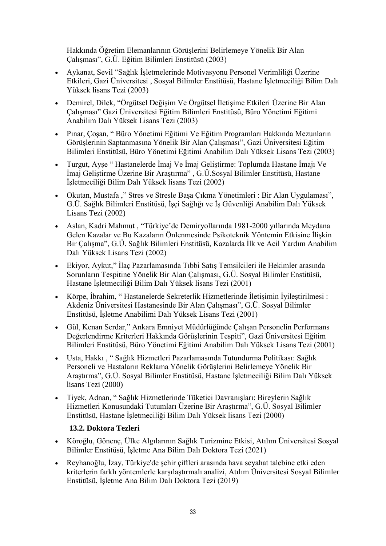Hakkında Öğretim Elemanlarının Görüşlerini Belirlemeye Yönelik Bir Alan Çalışması", G.Ü. Eğitim Bilimleri Enstitüsü (2003)

- Aykanat, Sevil "Sağlık İşletmelerinde Motivasyonu Personel Verimliliği Üzerine Etkileri, Gazi Üniversitesi , Sosyal Bilimler Enstitüsü, Hastane İşletmeciliği Bilim Dalı Yüksek lisans Tezi (2003)
- Demirel, Dilek, "Örgütsel Değişim Ve Örgütsel İletişime Etkileri Üzerine Bir Alan Çalışması" Gazi Üniversitesi Eğitim Bilimleri Enstitüsü, Büro Yönetimi Eğitimi Anabilim Dalı Yüksek Lisans Tezi (2003)
- Pınar, Çoşan, " Büro Yönetimi Eğitimi Ve Eğitim Programları Hakkında Mezunların Görüşlerinin Saptanmasına Yönelik Bir Alan Çalışması", Gazi Üniversitesi Eğitim Bilimleri Enstitüsü, Büro Yönetimi Eğitimi Anabilim Dalı Yüksek Lisans Tezi (2003)
- Turgut, Ayşe " Hastanelerde İmaj Ve İmaj Geliştirme: Toplumda Hastane İmajı Ve İmaj Geliştirme Üzerine Bir Araştırma" , G.Ü.Sosyal Bilimler Enstitüsü, Hastane İşletmeciliği Bilim Dalı Yüksek lisans Tezi (2002)
- Okutan, Mustafa ," Stres ve Stresle Başa Çıkma Yönetimleri : Bir Alan Uygulaması", G.Ü. Sağlık Bilimleri Enstitüsü, İşçi Sağlığı ve İş Güvenliği Anabilim Dalı Yüksek Lisans Tezi (2002)
- Aslan, Kadri Mahmut , "Türkiye'de Demiryollarında 1981-2000 yıllarında Meydana Gelen Kazalar ve Bu Kazaların Önlenmesinde Psikoteknik Yöntemin Etkisine İlişkin Bir Çalışma", G.Ü. Sağlık Bilimleri Enstitüsü, Kazalarda İlk ve Acil Yardım Anabilim Dalı Yüksek Lisans Tezi (2002)
- Ekiyor, Aykut," İlaç Pazarlamasında Tıbbi Satış Temsilcileri ile Hekimler arasında Sorunların Tespitine Yönelik Bir Alan Çalışması, G.Ü. Sosyal Bilimler Enstitüsü, Hastane İşletmeciliği Bilim Dalı Yüksek lisans Tezi (2001)
- Körpe, İbrahim, " Hastanelerde Sekreterlik Hizmetlerinde İletişimin İyileştirilmesi : Akdeniz Üniversitesi Hastanesinde Bir Alan Çalışması", G.Ü. Sosyal Bilimler Enstitüsü, İşletme Anabilimi Dalı Yüksek Lisans Tezi (2001)
- Gül, Kenan Serdar," Ankara Emniyet Müdürlüğünde Çalışan Personelin Performans Değerlendirme Kriterleri Hakkında Görüşlerinin Tespiti", Gazi Üniversitesi Eğitim Bilimleri Enstitüsü, Büro Yönetimi Eğitimi Anabilim Dalı Yüksek Lisans Tezi (2001)
- Usta, Hakkı , " Sağlık Hizmetleri Pazarlamasında Tutundurma Politikası: Sağlık Personeli ve Hastaların Reklama Yönelik Görüşlerini Belirlemeye Yönelik Bir Araştırma", G.Ü. Sosyal Bilimler Enstitüsü, Hastane İşletmeciliği Bilim Dalı Yüksek lisans Tezi (2000)
- Tiyek, Adnan, " Sağlık Hizmetlerinde Tüketici Davranışları: Bireylerin Sağlık Hizmetleri Konusundaki Tutumları Üzerine Bir Araştırma", G.Ü. Sosyal Bilimler Enstitüsü, Hastane İşletmeciliği Bilim Dalı Yüksek lisans Tezi (2000)

# **13.2. Doktora Tezleri**

- Köroğlu, Gönenç, Ülke Algılarının Sağlık Turizmine Etkisi, Atılım Üniversitesi Sosyal Bilimler Enstitüsü, İşletme Ana Bilim Dalı Doktora Tezi (2021)
- Reyhanoğlu, İzay, Türkiye'de şehir çiftleri arasında hava seyahat talebine etki eden kriterlerin farklı yöntemlerle karşılaştırmalı analizi, Atılım Üniversitesi Sosyal Bilimler Enstitüsü, İşletme Ana Bilim Dalı Doktora Tezi (2019)